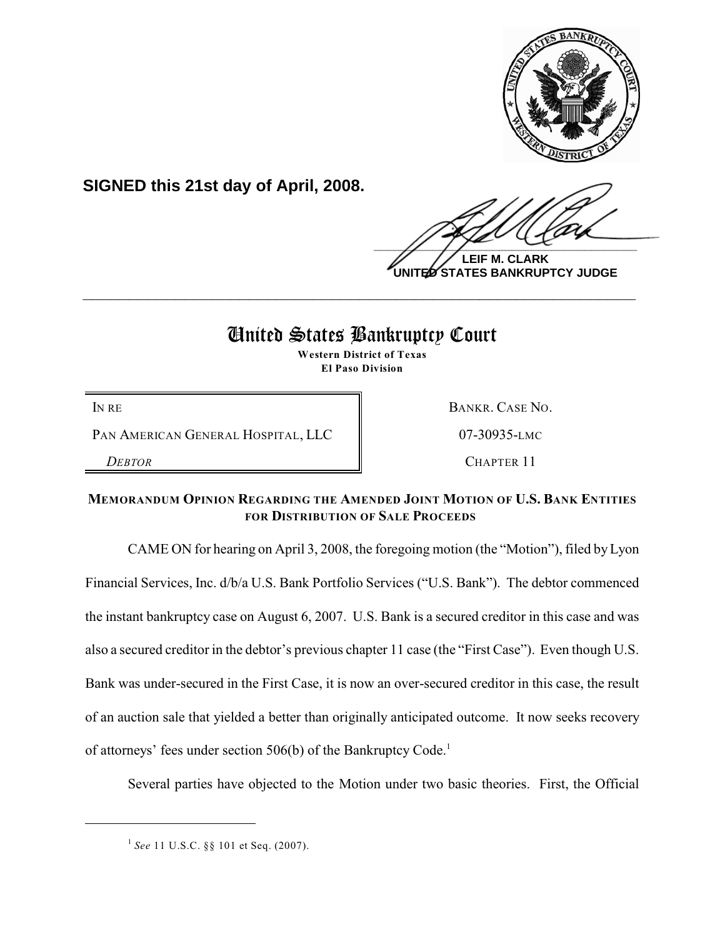

**SIGNED this 21st day of April, 2008.**

 $\frac{1}{2}$ 

**LEIF M. CLARK UNITED STATES BANKRUPTCY JUDGE**

# United States Bankruptcy Court

**\_\_\_\_\_\_\_\_\_\_\_\_\_\_\_\_\_\_\_\_\_\_\_\_\_\_\_\_\_\_\_\_\_\_\_\_\_\_\_\_\_\_\_\_\_\_\_\_\_\_\_\_\_\_\_\_\_\_\_\_**

**Western District of Texas El Paso Division**

PAN AMERICAN GENERAL HOSPITAL, LLC | 07-30935-LMC

IN RE BANKR. CASE NO.

*DEBTOR* CHAPTER 11

# **MEMORANDUM OPINION REGARDING THE AMENDED JOINT MOTION OF U.S. BANK ENTITIES FOR DISTRIBUTION OF SALE PROCEEDS**

CAME ON for hearing on April 3, 2008, the foregoing motion (the "Motion"), filed by Lyon Financial Services, Inc. d/b/a U.S. Bank Portfolio Services ("U.S. Bank"). The debtor commenced the instant bankruptcy case on August 6, 2007. U.S. Bank is a secured creditor in this case and was also a secured creditor in the debtor's previous chapter 11 case (the "First Case"). Even though U.S. Bank was under-secured in the First Case, it is now an over-secured creditor in this case, the result of an auction sale that yielded a better than originally anticipated outcome. It now seeks recovery of attorneys' fees under section 506(b) of the Bankruptcy Code.<sup>1</sup>

Several parties have objected to the Motion under two basic theories. First, the Official

<sup>&</sup>lt;sup>1</sup> See 11 U.S.C. §§ 101 et Seq. (2007).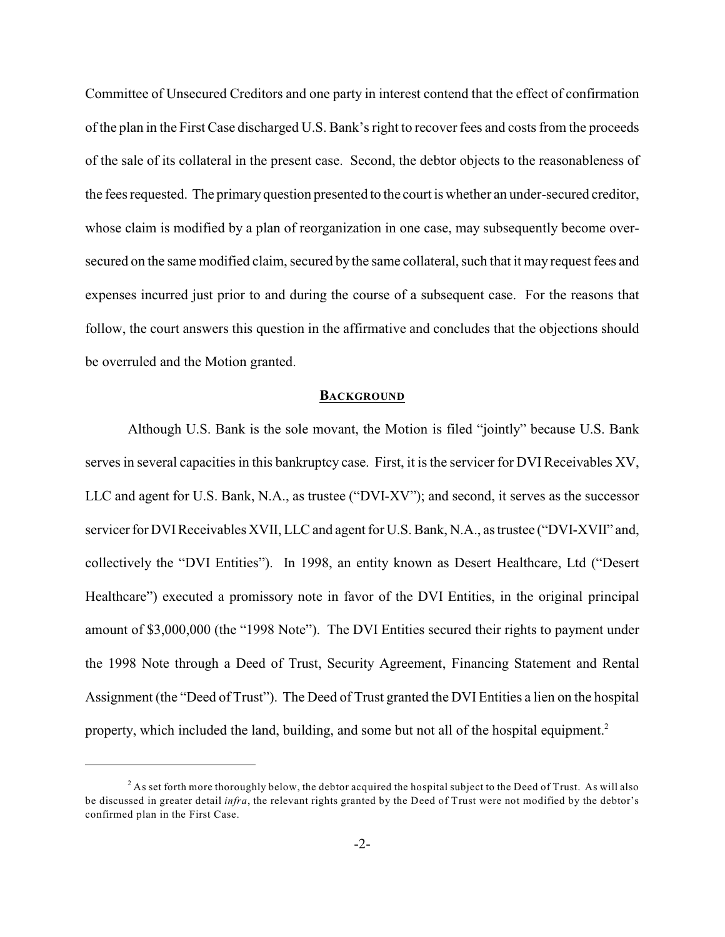Committee of Unsecured Creditors and one party in interest contend that the effect of confirmation of the plan in the First Case discharged U.S. Bank's right to recover fees and costs from the proceeds of the sale of its collateral in the present case. Second, the debtor objects to the reasonableness of the fees requested. The primary question presented to the court is whether an under-secured creditor, whose claim is modified by a plan of reorganization in one case, may subsequently become oversecured on the same modified claim, secured by the same collateral, such that it may request fees and expenses incurred just prior to and during the course of a subsequent case. For the reasons that follow, the court answers this question in the affirmative and concludes that the objections should be overruled and the Motion granted.

#### **BACKGROUND**

Although U.S. Bank is the sole movant, the Motion is filed "jointly" because U.S. Bank serves in several capacities in this bankruptcy case. First, it is the servicer for DVI Receivables XV, LLC and agent for U.S. Bank, N.A., as trustee ("DVI-XV"); and second, it serves as the successor servicer for DVI Receivables XVII, LLC and agent for U.S. Bank, N.A., as trustee ("DVI-XVII" and, collectively the "DVI Entities"). In 1998, an entity known as Desert Healthcare, Ltd ("Desert Healthcare") executed a promissory note in favor of the DVI Entities, in the original principal amount of \$3,000,000 (the "1998 Note"). The DVI Entities secured their rights to payment under the 1998 Note through a Deed of Trust, Security Agreement, Financing Statement and Rental Assignment (the "Deed of Trust"). The Deed of Trust granted the DVI Entities a lien on the hospital property, which included the land, building, and some but not all of the hospital equipment.<sup>2</sup>

 $^2$  As set forth more thoroughly below, the debtor acquired the hospital subject to the Deed of Trust. As will also be discussed in greater detail *infra*, the relevant rights granted by the Deed of Trust were not modified by the debtor's confirmed plan in the First Case.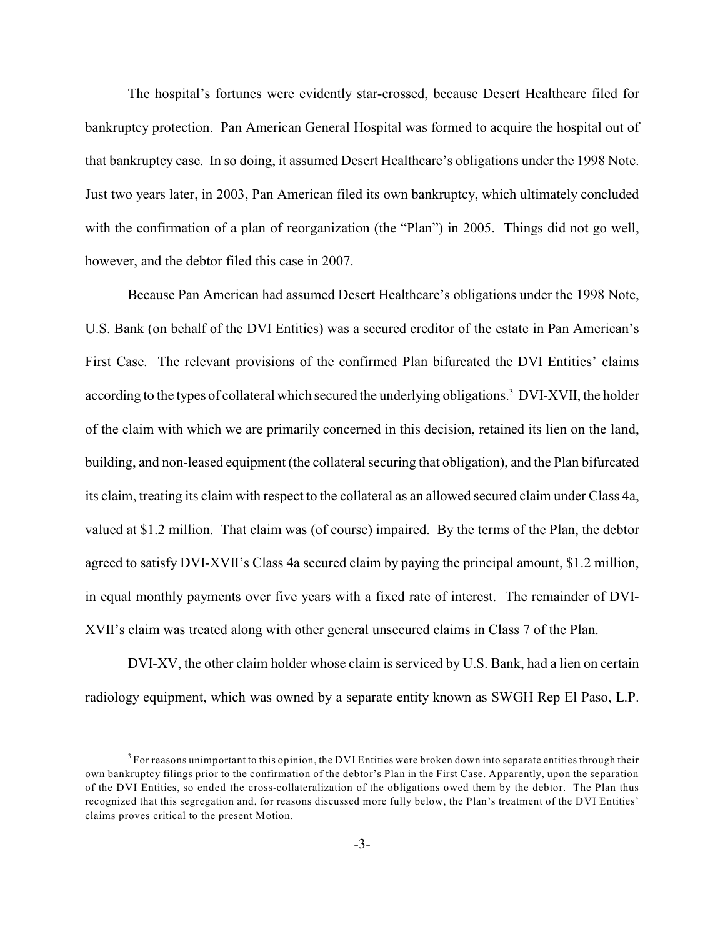The hospital's fortunes were evidently star-crossed, because Desert Healthcare filed for bankruptcy protection. Pan American General Hospital was formed to acquire the hospital out of that bankruptcy case. In so doing, it assumed Desert Healthcare's obligations under the 1998 Note. Just two years later, in 2003, Pan American filed its own bankruptcy, which ultimately concluded with the confirmation of a plan of reorganization (the "Plan") in 2005. Things did not go well, however, and the debtor filed this case in 2007.

Because Pan American had assumed Desert Healthcare's obligations under the 1998 Note, U.S. Bank (on behalf of the DVI Entities) was a secured creditor of the estate in Pan American's First Case. The relevant provisions of the confirmed Plan bifurcated the DVI Entities' claims according to the types of collateral which secured the underlying obligations.<sup>3</sup> DVI-XVII, the holder of the claim with which we are primarily concerned in this decision, retained its lien on the land, building, and non-leased equipment (the collateral securing that obligation), and the Plan bifurcated its claim, treating its claim with respect to the collateral as an allowed secured claim under Class 4a, valued at \$1.2 million. That claim was (of course) impaired. By the terms of the Plan, the debtor agreed to satisfy DVI-XVII's Class 4a secured claim by paying the principal amount, \$1.2 million, in equal monthly payments over five years with a fixed rate of interest. The remainder of DVI-XVII's claim was treated along with other general unsecured claims in Class 7 of the Plan.

DVI-XV, the other claim holder whose claim is serviced by U.S. Bank, had a lien on certain radiology equipment, which was owned by a separate entity known as SWGH Rep El Paso, L.P.

<sup>&</sup>lt;sup>3</sup> For reasons unimportant to this opinion, the DVI Entities were broken down into separate entities through their own bankruptcy filings prior to the confirmation of the debtor's Plan in the First Case. Apparently, upon the separation of the DVI Entities, so ended the cross-collateralization of the obligations owed them by the debtor. The Plan thus recognized that this segregation and, for reasons discussed more fully below, the Plan's treatment of the DVI Entities' claims proves critical to the present Motion.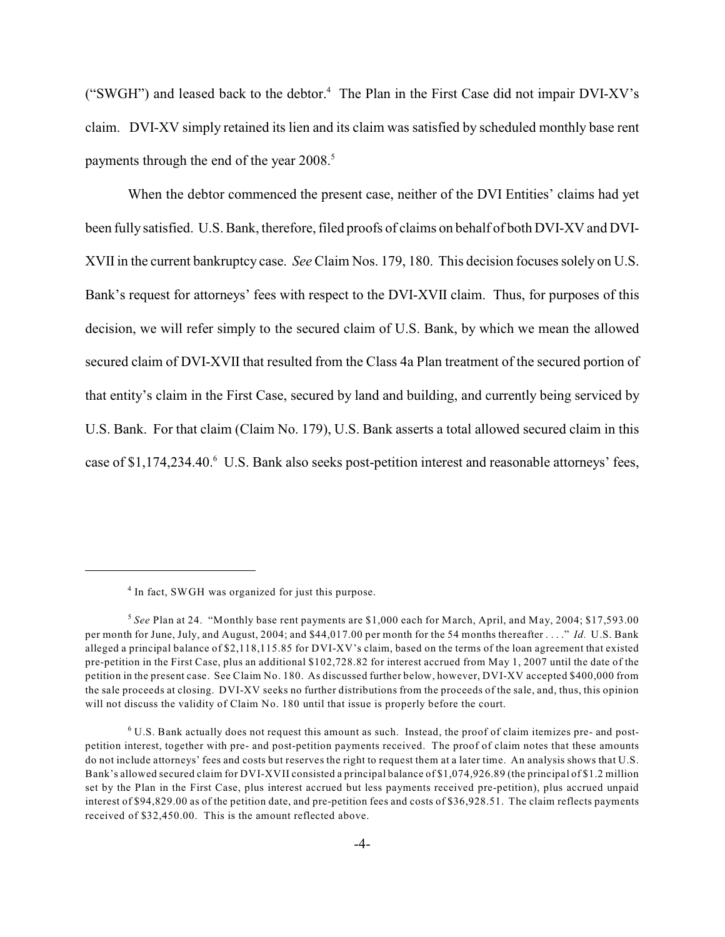("SWGH") and leased back to the debtor. $4$  The Plan in the First Case did not impair DVI-XV's claim. DVI-XV simply retained its lien and its claim was satisfied by scheduled monthly base rent payments through the end of the year 2008.<sup>5</sup>

When the debtor commenced the present case, neither of the DVI Entities' claims had yet been fully satisfied. U.S. Bank, therefore, filed proofs of claims on behalf of both DVI-XV and DVI-XVII in the current bankruptcy case. *See* Claim Nos. 179, 180. This decision focuses solely on U.S. Bank's request for attorneys' fees with respect to the DVI-XVII claim. Thus, for purposes of this decision, we will refer simply to the secured claim of U.S. Bank, by which we mean the allowed secured claim of DVI-XVII that resulted from the Class 4a Plan treatment of the secured portion of that entity's claim in the First Case, secured by land and building, and currently being serviced by U.S. Bank. For that claim (Claim No. 179), U.S. Bank asserts a total allowed secured claim in this case of \$1,174,234.40. U.S. Bank also seeks post-petition interest and reasonable attorneys' fees,

 $4$  In fact, SWGH was organized for just this purpose.

<sup>&</sup>lt;sup>5</sup> See Plan at 24. "Monthly base rent payments are \$1,000 each for March, April, and May, 2004; \$17,593.00 per month for June, July, and August, 2004; and \$44,017.00 per month for the 54 months thereafter . . . ." *Id.* U.S. Bank alleged a principal balance of \$2,118,115.85 for DVI-XV's claim, based on the terms of the loan agreement that existed pre-petition in the First Case, plus an additional \$102,728.82 for interest accrued from May 1, 2007 until the date of the petition in the present case. See Claim No. 180. As discussed further below, however, DVI-XV accepted \$400,000 from the sale proceeds at closing. DVI-XV seeks no further distributions from the proceeds of the sale, and, thus, this opinion will not discuss the validity of Claim No. 180 until that issue is properly before the court.

 $6$  U.S. Bank actually does not request this amount as such. Instead, the proof of claim itemizes pre- and postpetition interest, together with pre- and post-petition payments received. The proof of claim notes that these amounts do not include attorneys' fees and costs but reserves the right to request them at a later time. An analysis shows that U.S. Bank's allowed secured claim for DVI-XVII consisted a principal balance of \$1,074,926.89 (the principal of \$1.2 million set by the Plan in the First Case, plus interest accrued but less payments received pre-petition), plus accrued unpaid interest of \$94,829.00 as of the petition date, and pre-petition fees and costs of \$36,928.51. The claim reflects payments received of \$32,450.00. This is the amount reflected above.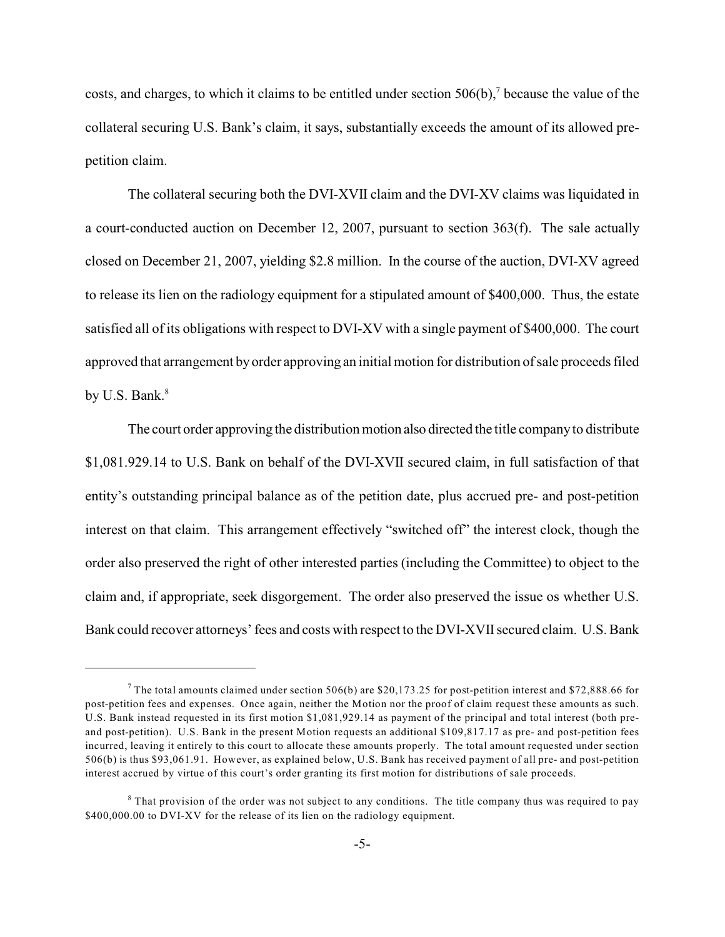costs, and charges, to which it claims to be entitled under section  $506(b)$ , because the value of the collateral securing U.S. Bank's claim, it says, substantially exceeds the amount of its allowed prepetition claim.

The collateral securing both the DVI-XVII claim and the DVI-XV claims was liquidated in a court-conducted auction on December 12, 2007, pursuant to section 363(f). The sale actually closed on December 21, 2007, yielding \$2.8 million. In the course of the auction, DVI-XV agreed to release its lien on the radiology equipment for a stipulated amount of \$400,000. Thus, the estate satisfied all of its obligations with respect to DVI-XV with a single payment of \$400,000. The court approved that arrangement by order approving an initial motion for distribution of sale proceeds filed by U.S. Bank.<sup>8</sup>

The court order approving the distribution motion also directed the title company to distribute \$1,081.929.14 to U.S. Bank on behalf of the DVI-XVII secured claim, in full satisfaction of that entity's outstanding principal balance as of the petition date, plus accrued pre- and post-petition interest on that claim. This arrangement effectively "switched off" the interest clock, though the order also preserved the right of other interested parties (including the Committee) to object to the claim and, if appropriate, seek disgorgement. The order also preserved the issue os whether U.S. Bank could recover attorneys' fees and costs with respect to the DVI-XVII secured claim. U.S. Bank

<sup>&</sup>lt;sup>7</sup> The total amounts claimed under section 506(b) are \$20,173.25 for post-petition interest and \$72,888.66 for post-petition fees and expenses. Once again, neither the Motion nor the proof of claim request these amounts as such. U.S. Bank instead requested in its first motion \$1,081,929.14 as payment of the principal and total interest (both preand post-petition). U.S. Bank in the present Motion requests an additional \$109,817.17 as pre- and post-petition fees incurred, leaving it entirely to this court to allocate these amounts properly. The total amount requested under section 506(b) is thus \$93,061.91. However, as explained below, U.S. Bank has received payment of all pre- and post-petition interest accrued by virtue of this court's order granting its first motion for distributions of sale proceeds.

 $8$  That provision of the order was not subject to any conditions. The title company thus was required to pay \$400,000.00 to DVI-XV for the release of its lien on the radiology equipment.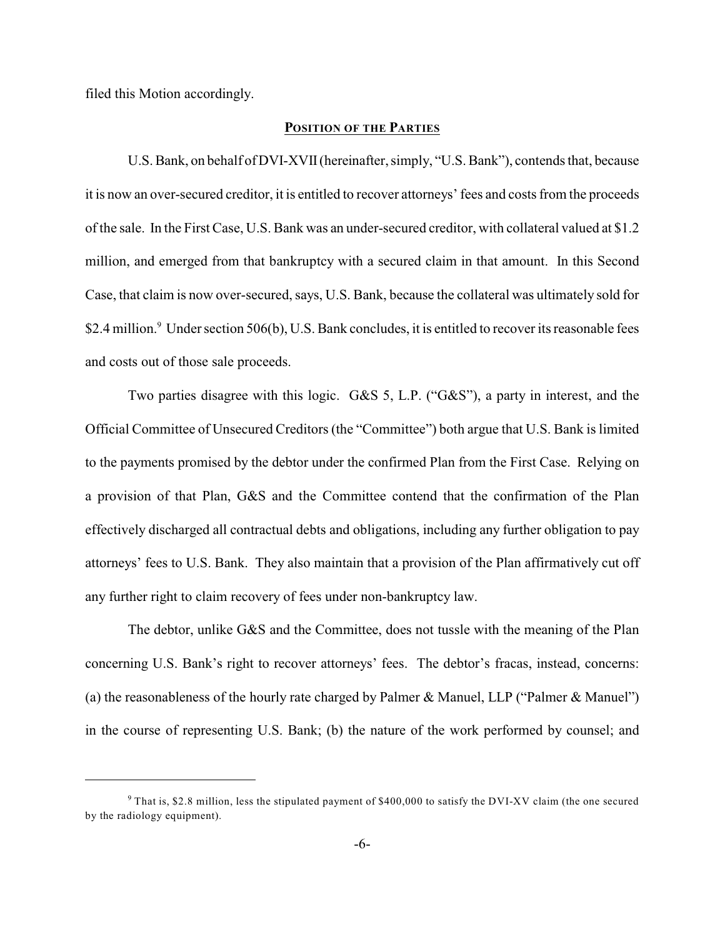filed this Motion accordingly.

#### **POSITION OF THE PARTIES**

U.S. Bank, on behalf of DVI-XVII (hereinafter, simply, "U.S. Bank"), contends that, because it is now an over-secured creditor, it is entitled to recover attorneys' fees and costs from the proceeds of the sale. In the First Case, U.S. Bank was an under-secured creditor, with collateral valued at \$1.2 million, and emerged from that bankruptcy with a secured claim in that amount. In this Second Case, that claim is now over-secured, says, U.S. Bank, because the collateral was ultimately sold for \$2.4 million.<sup>9</sup> Under section 506(b), U.S. Bank concludes, it is entitled to recover its reasonable fees and costs out of those sale proceeds.

Two parties disagree with this logic. G&S 5, L.P. ("G&S"), a party in interest, and the Official Committee of Unsecured Creditors (the "Committee") both argue that U.S. Bank is limited to the payments promised by the debtor under the confirmed Plan from the First Case. Relying on a provision of that Plan, G&S and the Committee contend that the confirmation of the Plan effectively discharged all contractual debts and obligations, including any further obligation to pay attorneys' fees to U.S. Bank. They also maintain that a provision of the Plan affirmatively cut off any further right to claim recovery of fees under non-bankruptcy law.

The debtor, unlike G&S and the Committee, does not tussle with the meaning of the Plan concerning U.S. Bank's right to recover attorneys' fees. The debtor's fracas, instead, concerns: (a) the reasonableness of the hourly rate charged by Palmer & Manuel, LLP ("Palmer & Manuel") in the course of representing U.S. Bank; (b) the nature of the work performed by counsel; and

<sup>&</sup>lt;sup>9</sup> That is, \$2.8 million, less the stipulated payment of \$400,000 to satisfy the DVI-XV claim (the one secured by the radiology equipment).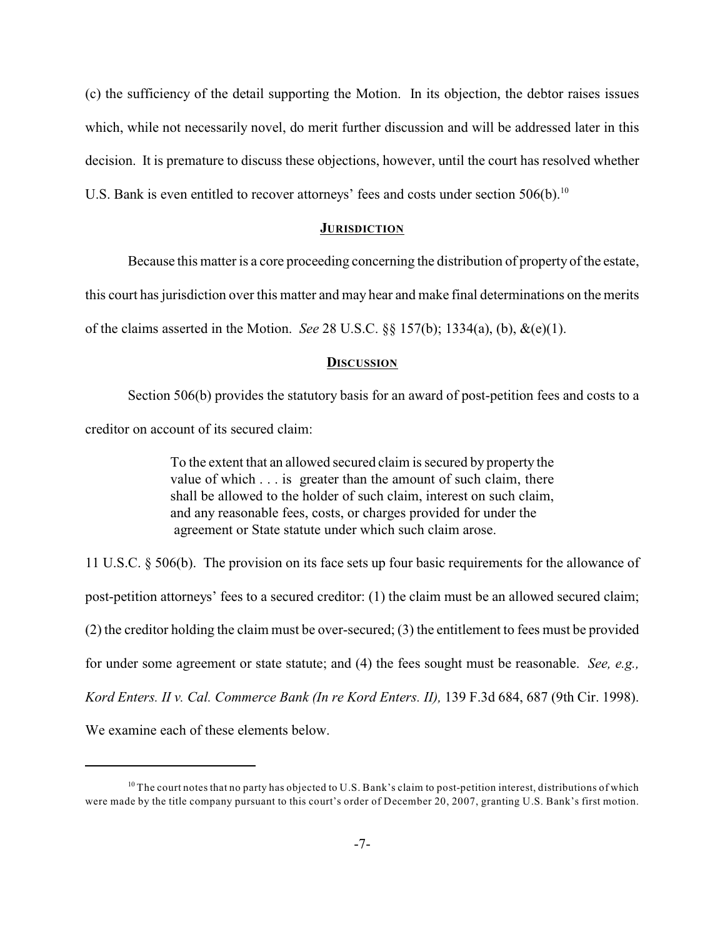(c) the sufficiency of the detail supporting the Motion. In its objection, the debtor raises issues which, while not necessarily novel, do merit further discussion and will be addressed later in this decision. It is premature to discuss these objections, however, until the court has resolved whether U.S. Bank is even entitled to recover attorneys' fees and costs under section  $506(b)$ .<sup>10</sup>

#### **JURISDICTION**

Because this matter is a core proceeding concerning the distribution of property of the estate, this court has jurisdiction over this matter and may hear and make final determinations on the merits of the claims asserted in the Motion. *See* 28 U.S.C. §§ 157(b); 1334(a), (b), &(e)(1).

#### **DISCUSSION**

Section 506(b) provides the statutory basis for an award of post-petition fees and costs to a creditor on account of its secured claim:

> To the extent that an allowed secured claim is secured by property the value of which . . . is greater than the amount of such claim, there shall be allowed to the holder of such claim, interest on such claim, and any reasonable fees, costs, or charges provided for under the agreement or State statute under which such claim arose.

11 U.S.C. § 506(b). The provision on its face sets up four basic requirements for the allowance of post-petition attorneys' fees to a secured creditor: (1) the claim must be an allowed secured claim; (2) the creditor holding the claim must be over-secured; (3) the entitlement to fees must be provided for under some agreement or state statute; and (4) the fees sought must be reasonable. *See, e.g., Kord Enters. II v. Cal. Commerce Bank (In re Kord Enters. II),* 139 F.3d 684, 687 (9th Cir. 1998). We examine each of these elements below.

 $10$  The court notes that no party has objected to U.S. Bank's claim to post-petition interest, distributions of which were made by the title company pursuant to this court's order of December 20, 2007, granting U.S. Bank's first motion.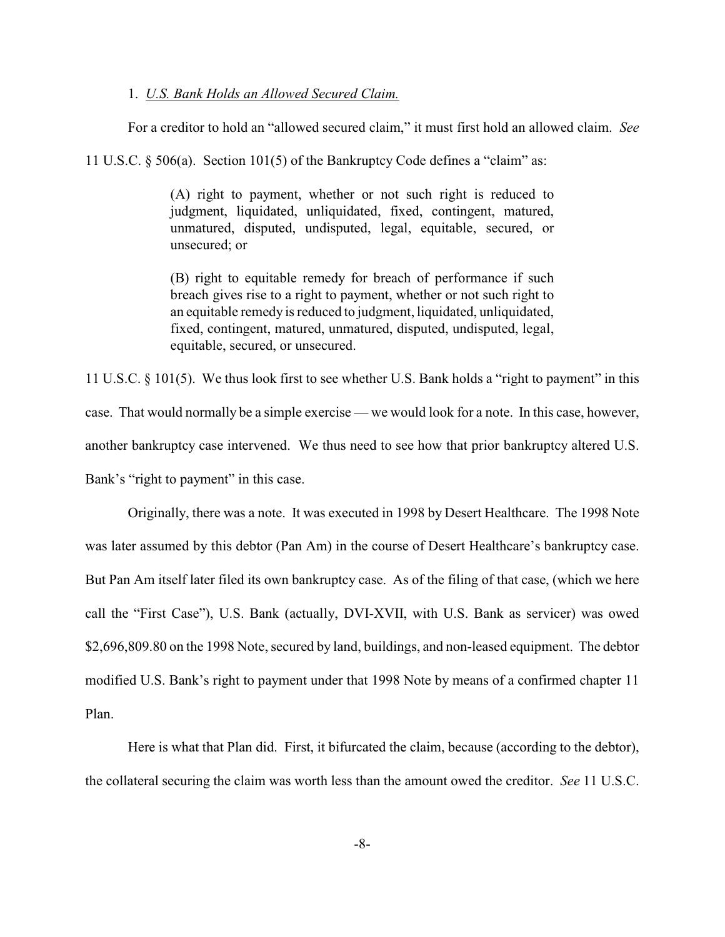#### 1. *U.S. Bank Holds an Allowed Secured Claim.*

For a creditor to hold an "allowed secured claim," it must first hold an allowed claim. *See*

11 U.S.C. § 506(a). Section 101(5) of the Bankruptcy Code defines a "claim" as:

(A) right to payment, whether or not such right is reduced to judgment, liquidated, unliquidated, fixed, contingent, matured, unmatured, disputed, undisputed, legal, equitable, secured, or unsecured; or

(B) right to equitable remedy for breach of performance if such breach gives rise to a right to payment, whether or not such right to an equitable remedy is reduced to judgment, liquidated, unliquidated, fixed, contingent, matured, unmatured, disputed, undisputed, legal, equitable, secured, or unsecured.

11 U.S.C. § 101(5). We thus look first to see whether U.S. Bank holds a "right to payment" in this case. That would normally be a simple exercise — we would look for a note. In this case, however, another bankruptcy case intervened. We thus need to see how that prior bankruptcy altered U.S. Bank's "right to payment" in this case.

Originally, there was a note. It was executed in 1998 by Desert Healthcare. The 1998 Note was later assumed by this debtor (Pan Am) in the course of Desert Healthcare's bankruptcy case. But Pan Am itself later filed its own bankruptcy case. As of the filing of that case, (which we here call the "First Case"), U.S. Bank (actually, DVI-XVII, with U.S. Bank as servicer) was owed \$2,696,809.80 on the 1998 Note, secured by land, buildings, and non-leased equipment. The debtor modified U.S. Bank's right to payment under that 1998 Note by means of a confirmed chapter 11 Plan.

Here is what that Plan did. First, it bifurcated the claim, because (according to the debtor), the collateral securing the claim was worth less than the amount owed the creditor. *See* 11 U.S.C.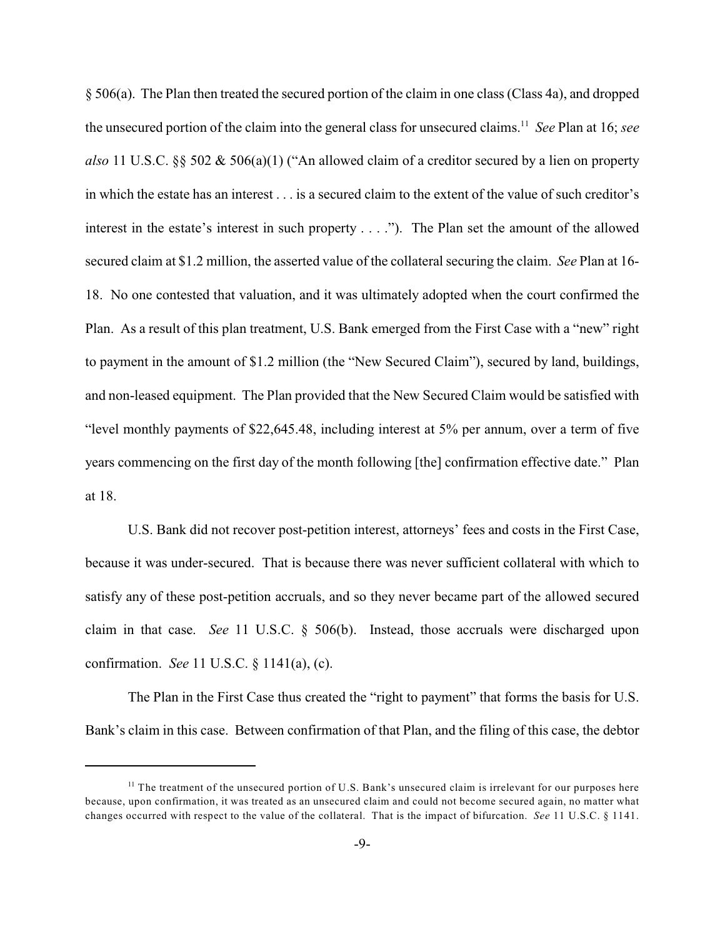§ 506(a). The Plan then treated the secured portion of the claim in one class (Class 4a), and dropped the unsecured portion of the claim into the general class for unsecured claims.<sup>11</sup> See Plan at 16; see *also* 11 U.S.C. §§ 502 & 506(a)(1) ("An allowed claim of a creditor secured by a lien on property in which the estate has an interest . . . is a secured claim to the extent of the value of such creditor's interest in the estate's interest in such property . . . ."). The Plan set the amount of the allowed secured claim at \$1.2 million, the asserted value of the collateral securing the claim. *See* Plan at 16- 18. No one contested that valuation, and it was ultimately adopted when the court confirmed the Plan. As a result of this plan treatment, U.S. Bank emerged from the First Case with a "new" right to payment in the amount of \$1.2 million (the "New Secured Claim"), secured by land, buildings, and non-leased equipment. The Plan provided that the New Secured Claim would be satisfied with "level monthly payments of \$22,645.48, including interest at 5% per annum, over a term of five years commencing on the first day of the month following [the] confirmation effective date." Plan at 18.

U.S. Bank did not recover post-petition interest, attorneys' fees and costs in the First Case, because it was under-secured. That is because there was never sufficient collateral with which to satisfy any of these post-petition accruals, and so they never became part of the allowed secured claim in that case. *See* 11 U.S.C. § 506(b). Instead, those accruals were discharged upon confirmation. *See* 11 U.S.C. § 1141(a), (c).

The Plan in the First Case thus created the "right to payment" that forms the basis for U.S. Bank's claim in this case. Between confirmation of that Plan, and the filing of this case, the debtor

 $<sup>11</sup>$  The treatment of the unsecured portion of U.S. Bank's unsecured claim is irrelevant for our purposes here</sup> because, upon confirmation, it was treated as an unsecured claim and could not become secured again, no matter what changes occurred with respect to the value of the collateral. That is the impact of bifurcation. *See* 11 U.S.C. § 1141.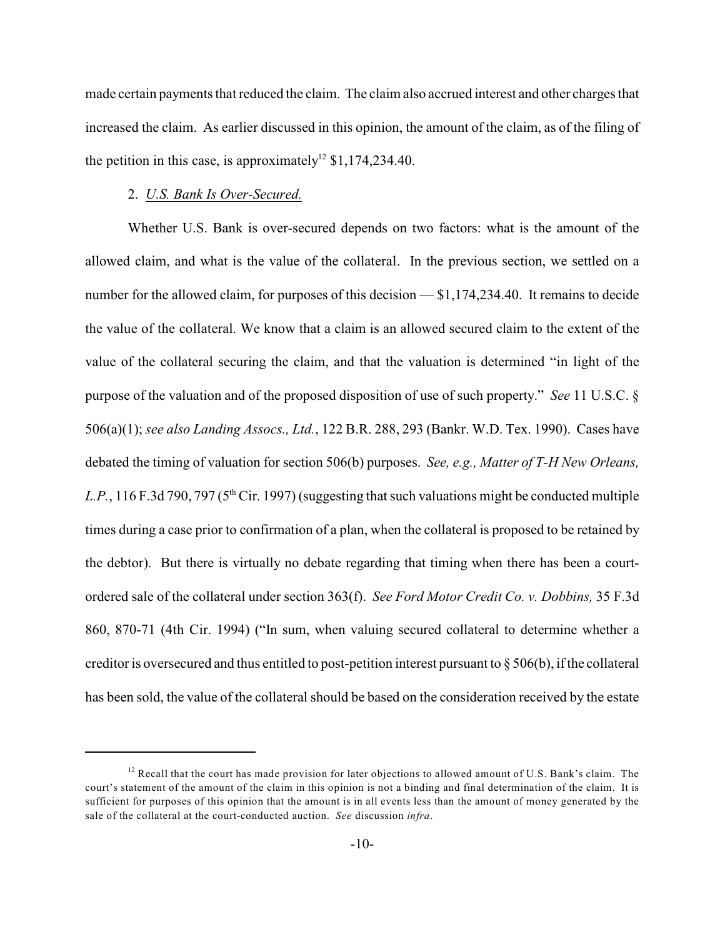made certain payments that reduced the claim. The claim also accrued interest and other charges that increased the claim. As earlier discussed in this opinion, the amount of the claim, as of the filing of the petition in this case, is approximately<sup>12</sup> \$1,174,234.40.

## 2. *U.S. Bank Is Over-Secured.*

Whether U.S. Bank is over-secured depends on two factors: what is the amount of the allowed claim, and what is the value of the collateral. In the previous section, we settled on a number for the allowed claim, for purposes of this decision — \$1,174,234.40. It remains to decide the value of the collateral. We know that a claim is an allowed secured claim to the extent of the value of the collateral securing the claim, and that the valuation is determined "in light of the purpose of the valuation and of the proposed disposition of use of such property." *See* 11 U.S.C. § 506(a)(1); *see also Landing Assocs., Ltd.*, 122 B.R. 288, 293 (Bankr. W.D. Tex. 1990). Cases have debated the timing of valuation for section 506(b) purposes. *See, e.g., Matter of T-H New Orleans,* L.P., 116 F.3d 790, 797 ( $5<sup>th</sup>$  Cir. 1997) (suggesting that such valuations might be conducted multiple times during a case prior to confirmation of a plan, when the collateral is proposed to be retained by the debtor). But there is virtually no debate regarding that timing when there has been a courtordered sale of the collateral under section 363(f). *See Ford Motor Credit Co. v. Dobbins,* 35 F.3d 860, 870-71 (4th Cir. 1994) ("In sum, when valuing secured collateral to determine whether a creditor is oversecured and thus entitled to post-petition interest pursuant to § 506(b), if the collateral has been sold, the value of the collateral should be based on the consideration received by the estate

 $12$  Recall that the court has made provision for later objections to allowed amount of U.S. Bank's claim. The court's statement of the amount of the claim in this opinion is not a binding and final determination of the claim. It is sufficient for purposes of this opinion that the amount is in all events less than the amount of money generated by the sale of the collateral at the court-conducted auction. *See* discussion *infra*.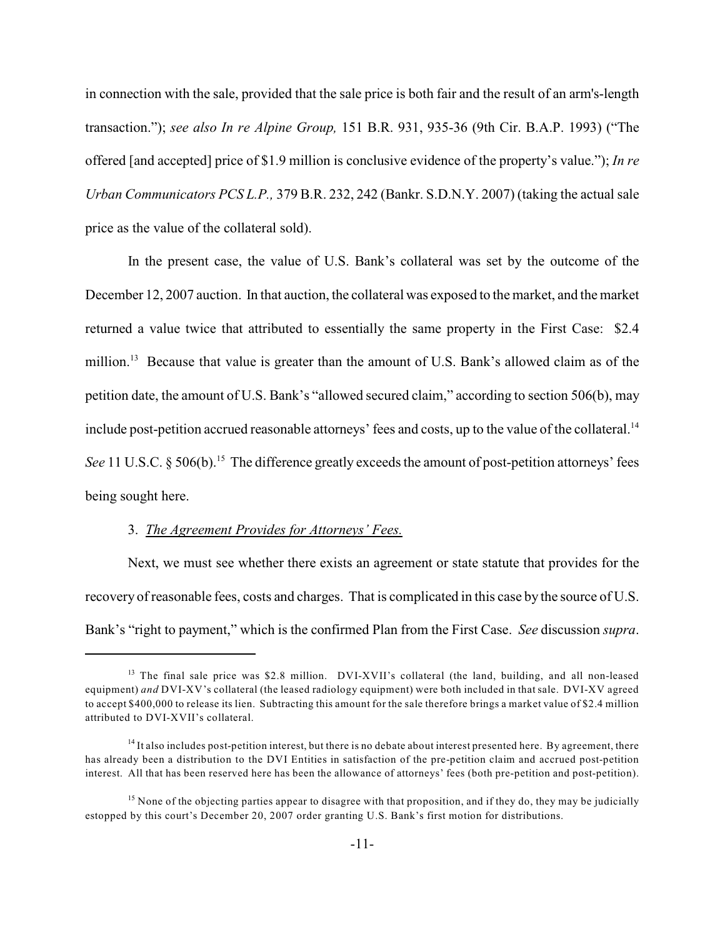in connection with the sale, provided that the sale price is both fair and the result of an arm's-length transaction."); *see also In re Alpine Group,* 151 B.R. 931, 935-36 (9th Cir. B.A.P. 1993) ("The offered [and accepted] price of \$1.9 million is conclusive evidence of the property's value."); *In re Urban Communicators PCS L.P.,* 379 B.R. 232, 242 (Bankr. S.D.N.Y. 2007) (taking the actual sale price as the value of the collateral sold).

In the present case, the value of U.S. Bank's collateral was set by the outcome of the December 12, 2007 auction. In that auction, the collateral was exposed to the market, and the market returned a value twice that attributed to essentially the same property in the First Case: \$2.4 million.<sup>13</sup> Because that value is greater than the amount of U.S. Bank's allowed claim as of the petition date, the amount of U.S. Bank's "allowed secured claim," according to section 506(b), may include post-petition accrued reasonable attorneys' fees and costs, up to the value of the collateral.<sup>14</sup> *See* 11 U.S.C. § 506(b).<sup>15</sup> The difference greatly exceeds the amount of post-petition attorneys' fees being sought here.

#### 3. *The Agreement Provides for Attorneys' Fees.*

Next, we must see whether there exists an agreement or state statute that provides for the recovery of reasonable fees, costs and charges. That is complicated in this case by the source of U.S. Bank's "right to payment," which is the confirmed Plan from the First Case. *See* discussion *supra*.

 $13$  The final sale price was \$2.8 million. DVI-XVII's collateral (the land, building, and all non-leased equipment) *and* DVI-XV's collateral (the leased radiology equipment) were both included in that sale. DVI-XV agreed to accept \$400,000 to release its lien. Subtracting this amount for the sale therefore brings a market value of \$2.4 million attributed to DVI-XVII's collateral.

 $14$  It also includes post-petition interest, but there is no debate about interest presented here. By agreement, there has already been a distribution to the DVI Entities in satisfaction of the pre-petition claim and accrued post-petition interest. All that has been reserved here has been the allowance of attorneys' fees (both pre-petition and post-petition).

<sup>&</sup>lt;sup>15</sup> None of the objecting parties appear to disagree with that proposition, and if they do, they may be judicially estopped by this court's December 20, 2007 order granting U.S. Bank's first motion for distributions.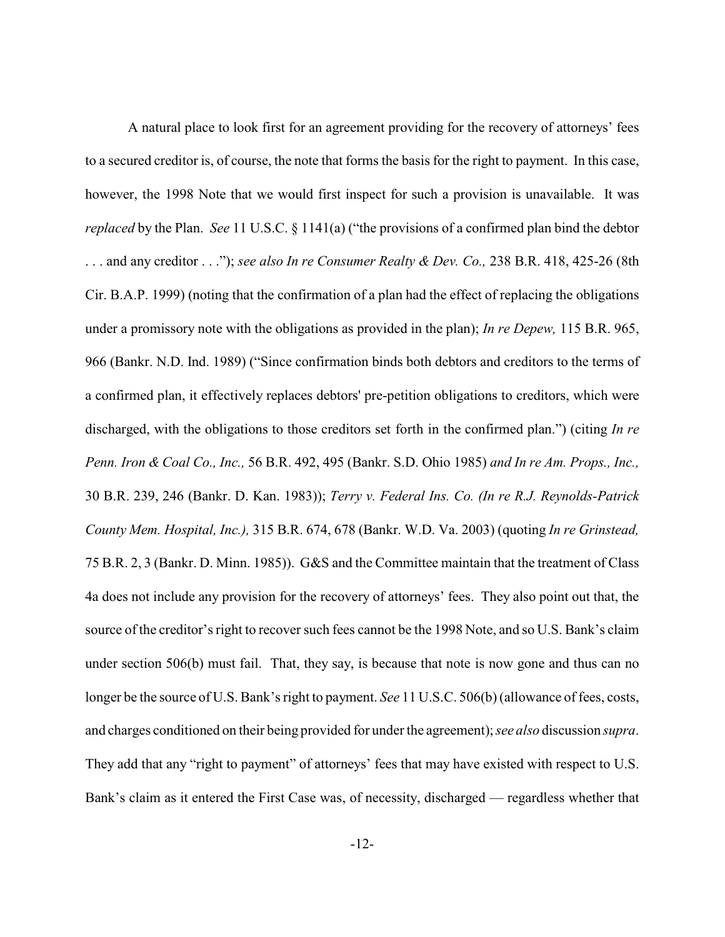A natural place to look first for an agreement providing for the recovery of attorneys' fees to a secured creditor is, of course, the note that forms the basis for the right to payment. In this case, however, the 1998 Note that we would first inspect for such a provision is unavailable. It was *replaced* by the Plan. *See* 11 U.S.C. § 1141(a) ("the provisions of a confirmed plan bind the debtor . . . and any creditor . . ."); *see also In re Consumer Realty & Dev. Co.,* 238 B.R. 418, 425-26 (8th Cir. B.A.P. 1999) (noting that the confirmation of a plan had the effect of replacing the obligations under a promissory note with the obligations as provided in the plan); *In re Depew,* 115 B.R. 965, 966 (Bankr. N.D. Ind. 1989) ("Since confirmation binds both debtors and creditors to the terms of a confirmed plan, it effectively replaces debtors' pre-petition obligations to creditors, which were discharged, with the obligations to those creditors set forth in the confirmed plan.") (citing *In re Penn. Iron & Coal Co., Inc.,* 56 B.R. 492, 495 (Bankr. S.D. Ohio 1985) *and In re Am. Props., Inc.,* 30 B.R. 239, 246 (Bankr. D. Kan. 1983)); *Terry v. Federal Ins. Co. (In re R.J. Reynolds-Patrick County Mem. Hospital, Inc.),* 315 B.R. 674, 678 (Bankr. W.D. Va. 2003) (quoting *In re Grinstead,* 75 B.R. 2, 3 (Bankr. D. Minn. 1985)). G&S and the Committee maintain that the treatment of Class 4a does not include any provision for the recovery of attorneys' fees. They also point out that, the source of the creditor's right to recover such fees cannot be the 1998 Note, and so U.S. Bank's claim under section 506(b) must fail. That, they say, is because that note is now gone and thus can no longer be the source of U.S. Bank's right to payment. *See* 11 U.S.C. 506(b)(allowance of fees, costs, and charges conditioned on their being provided for under the agreement); *see also* discussion *supra*. They add that any "right to payment" of attorneys' fees that may have existed with respect to U.S. Bank's claim as it entered the First Case was, of necessity, discharged — regardless whether that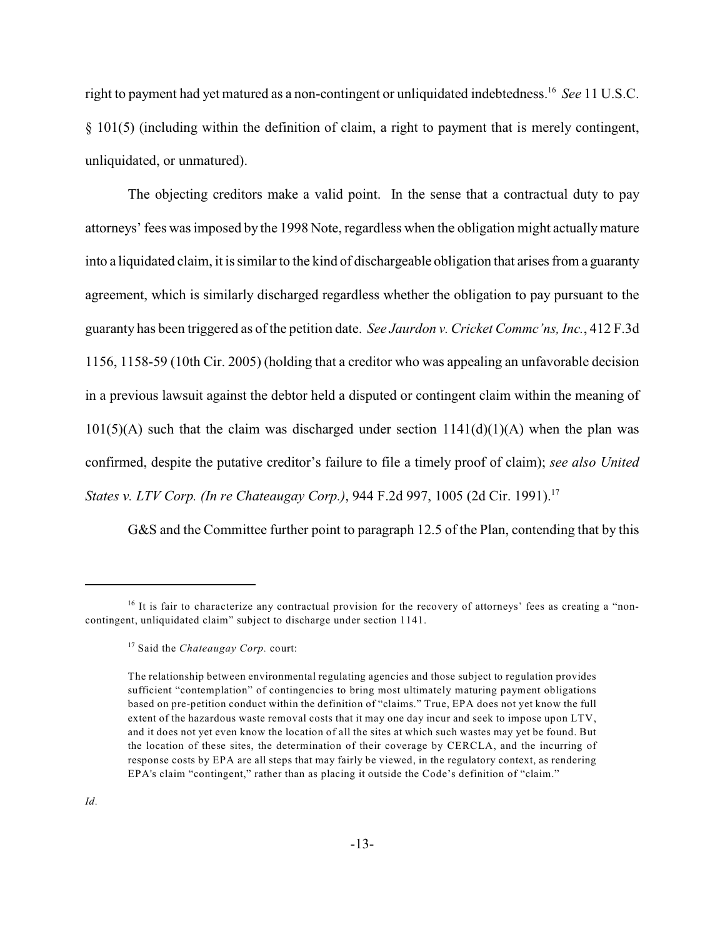right to payment had yet matured as a non-contingent or unliquidated indebtedness.<sup>16</sup> See 11 U.S.C. § 101(5) (including within the definition of claim, a right to payment that is merely contingent, unliquidated, or unmatured).

The objecting creditors make a valid point. In the sense that a contractual duty to pay attorneys' fees was imposed by the 1998 Note, regardless when the obligation might actually mature into a liquidated claim, it is similar to the kind of dischargeable obligation that arises from a guaranty agreement, which is similarly discharged regardless whether the obligation to pay pursuant to the guaranty has been triggered as of the petition date. *See Jaurdon v. Cricket Commc'ns, Inc.*, 412 F.3d 1156, 1158-59 (10th Cir. 2005) (holding that a creditor who was appealing an unfavorable decision in a previous lawsuit against the debtor held a disputed or contingent claim within the meaning of  $101(5)(A)$  such that the claim was discharged under section  $1141(d)(1)(A)$  when the plan was confirmed, despite the putative creditor's failure to file a timely proof of claim); *see also United States v. LTV Corp. (In re Chateaugay Corp.)*, 944 F.2d 997, 1005 (2d Cir. 1991).<sup>17</sup>

G&S and the Committee further point to paragraph 12.5 of the Plan, contending that by this

 $16$  It is fair to characterize any contractual provision for the recovery of attorneys' fees as creating a "noncontingent, unliquidated claim" subject to discharge under section 1141.

<sup>&</sup>lt;sup>17</sup> Said the *Chateaugay Corp.* court:

The relationship between environmental regulating agencies and those subject to regulation provides sufficient "contemplation" of contingencies to bring most ultimately maturing payment obligations based on pre-petition conduct within the definition of "claims." True, EPA does not yet know the full extent of the hazardous waste removal costs that it may one day incur and seek to impose upon LTV, and it does not yet even know the location of all the sites at which such wastes may yet be found. But the location of these sites, the determination of their coverage by CERCLA, and the incurring of response costs by EPA are all steps that may fairly be viewed, in the regulatory context, as rendering EPA's claim "contingent," rather than as placing it outside the Code's definition of "claim."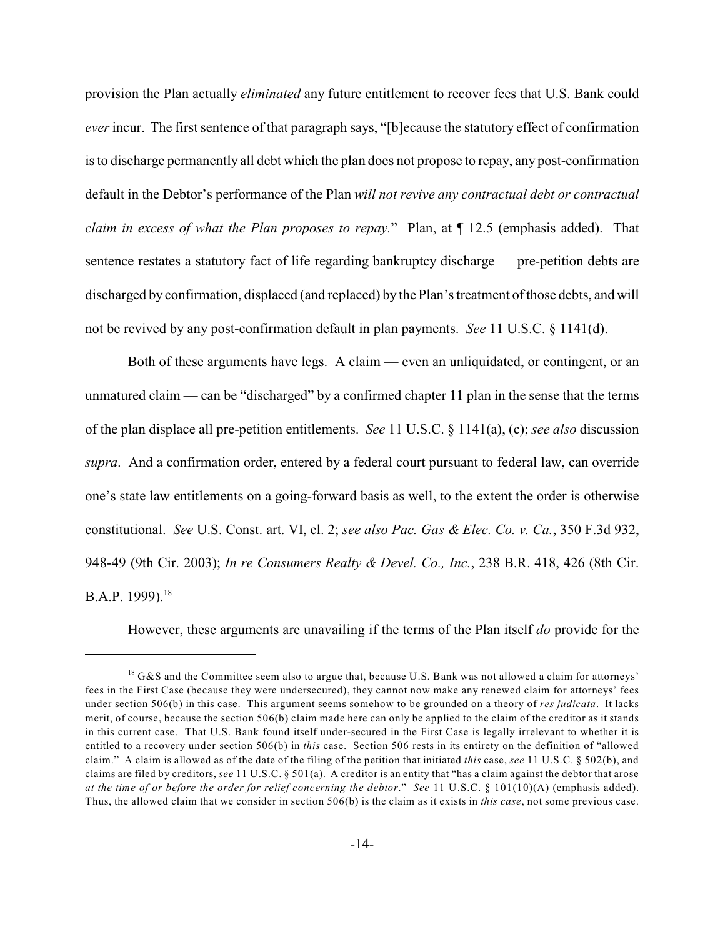provision the Plan actually *eliminated* any future entitlement to recover fees that U.S. Bank could *ever* incur. The first sentence of that paragraph says, "[b]ecause the statutory effect of confirmation is to discharge permanently all debt which the plan does not propose to repay, any post-confirmation default in the Debtor's performance of the Plan *will not revive any contractual debt or contractual claim in excess of what the Plan proposes to repay.*" Plan, at ¶ 12.5 (emphasis added). That sentence restates a statutory fact of life regarding bankruptcy discharge — pre-petition debts are discharged by confirmation, displaced (and replaced) by the Plan's treatment of those debts, and will not be revived by any post-confirmation default in plan payments. *See* 11 U.S.C. § 1141(d).

Both of these arguments have legs. A claim — even an unliquidated, or contingent, or an unmatured claim — can be "discharged" by a confirmed chapter 11 plan in the sense that the terms of the plan displace all pre-petition entitlements. *See* 11 U.S.C. § 1141(a), (c); *see also* discussion *supra*. And a confirmation order, entered by a federal court pursuant to federal law, can override one's state law entitlements on a going-forward basis as well, to the extent the order is otherwise constitutional. *See* U.S. Const. art. VI, cl. 2; *see also Pac. Gas & Elec. Co. v. Ca.*, 350 F.3d 932, 948-49 (9th Cir. 2003); *In re Consumers Realty & Devel. Co., Inc.*, 238 B.R. 418, 426 (8th Cir. B.A.P. 1999).<sup>18</sup>

However, these arguments are unavailing if the terms of the Plan itself *do* provide for the

 $^{18}$  G&S and the Committee seem also to argue that, because U.S. Bank was not allowed a claim for attorneys' fees in the First Case (because they were undersecured), they cannot now make any renewed claim for attorneys' fees under section 506(b) in this case. This argument seems somehow to be grounded on a theory of *res judicata*. It lacks merit, of course, because the section 506(b) claim made here can only be applied to the claim of the creditor as it stands in this current case. That U.S. Bank found itself under-secured in the First Case is legally irrelevant to whether it is entitled to a recovery under section 506(b) in *this* case. Section 506 rests in its entirety on the definition of "allowed claim." A claim is allowed as of the date of the filing of the petition that initiated *this* case, *see* 11 U.S.C. § 502(b), and claims are filed by creditors, *see* 11 U.S.C. § 501(a). A creditor is an entity that "has a claim against the debtor that arose *at the time of or before the order for relief concerning the debtor*." *See* 11 U.S.C. § 101(10)(A) (emphasis added). Thus, the allowed claim that we consider in section 506(b) is the claim as it exists in *this case*, not some previous case.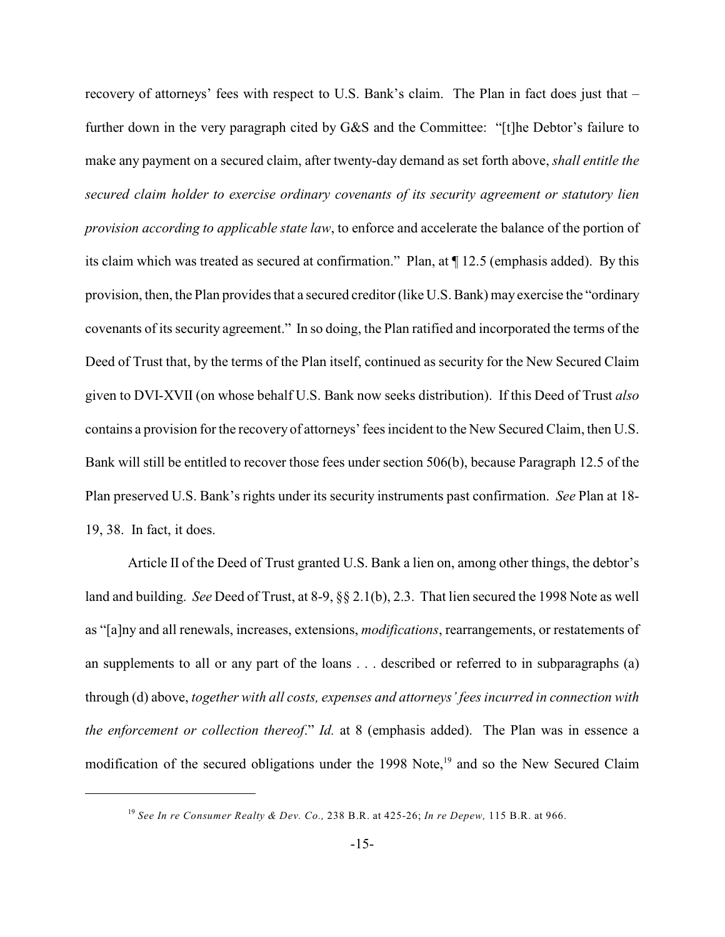recovery of attorneys' fees with respect to U.S. Bank's claim. The Plan in fact does just that – further down in the very paragraph cited by G&S and the Committee: "[t]he Debtor's failure to make any payment on a secured claim, after twenty-day demand as set forth above, *shall entitle the secured claim holder to exercise ordinary covenants of its security agreement or statutory lien provision according to applicable state law*, to enforce and accelerate the balance of the portion of its claim which was treated as secured at confirmation." Plan, at ¶ 12.5 (emphasis added). By this provision, then, the Plan provides that a secured creditor (like U.S. Bank) may exercise the "ordinary covenants of its security agreement." In so doing, the Plan ratified and incorporated the terms of the Deed of Trust that, by the terms of the Plan itself, continued as security for the New Secured Claim given to DVI-XVII (on whose behalf U.S. Bank now seeks distribution). If this Deed of Trust *also* contains a provision for the recovery of attorneys' fees incident to the New Secured Claim, then U.S. Bank will still be entitled to recover those fees under section 506(b), because Paragraph 12.5 of the Plan preserved U.S. Bank's rights under its security instruments past confirmation. *See* Plan at 18- 19, 38. In fact, it does.

Article II of the Deed of Trust granted U.S. Bank a lien on, among other things, the debtor's land and building. *See* Deed of Trust, at 8-9, §§ 2.1(b), 2.3. That lien secured the 1998 Note as well as "[a]ny and all renewals, increases, extensions, *modifications*, rearrangements, or restatements of an supplements to all or any part of the loans . . . described or referred to in subparagraphs (a) through (d) above, *together with all costs, expenses and attorneys' fees incurred in connection with the enforcement or collection thereof*." *Id.* at 8 (emphasis added). The Plan was in essence a modification of the secured obligations under the 1998 Note, $19$  and so the New Secured Claim

*See In re Consumer Realty & Dev. Co.,* 238 B.R. at 425-26; *In re Depew,* 115 B.R. at 966. <sup>19</sup>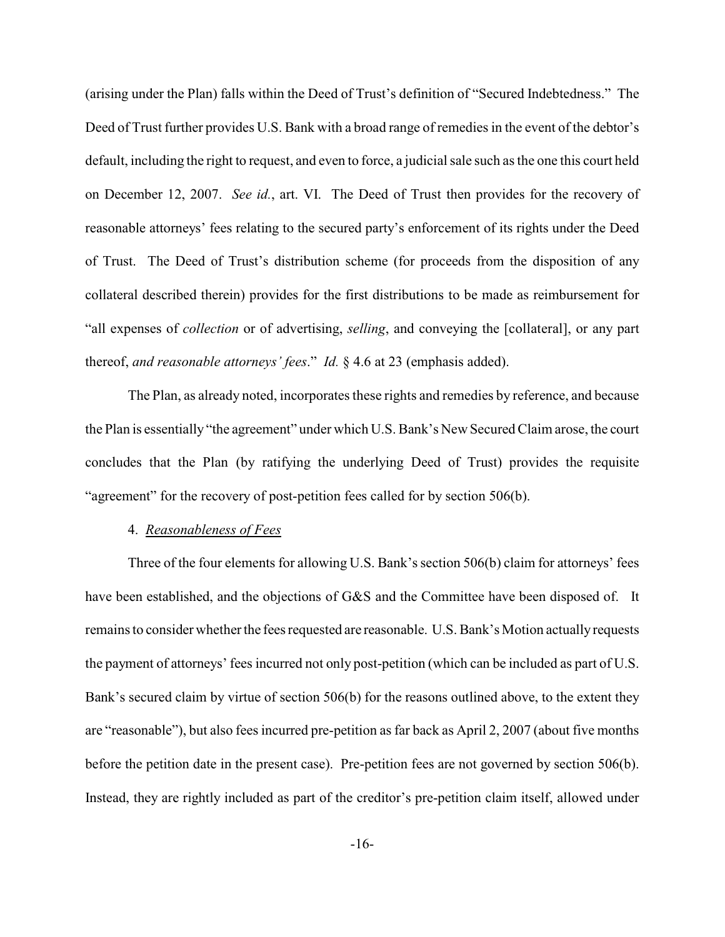(arising under the Plan) falls within the Deed of Trust's definition of "Secured Indebtedness." The Deed of Trust further provides U.S. Bank with a broad range of remedies in the event of the debtor's default, including the right to request, and even to force, a judicial sale such as the one this court held on December 12, 2007. *See id.*, art. VI. The Deed of Trust then provides for the recovery of reasonable attorneys' fees relating to the secured party's enforcement of its rights under the Deed of Trust. The Deed of Trust's distribution scheme (for proceeds from the disposition of any collateral described therein) provides for the first distributions to be made as reimbursement for "all expenses of *collection* or of advertising, *selling*, and conveying the [collateral], or any part thereof, *and reasonable attorneys' fees*." *Id.* § 4.6 at 23 (emphasis added).

The Plan, as already noted, incorporates these rights and remedies by reference, and because the Plan is essentially "the agreement" under which U.S. Bank's New Secured Claim arose, the court concludes that the Plan (by ratifying the underlying Deed of Trust) provides the requisite "agreement" for the recovery of post-petition fees called for by section 506(b).

#### 4. *Reasonableness of Fees*

Three of the four elements for allowing U.S. Bank's section 506(b) claim for attorneys' fees have been established, and the objections of G&S and the Committee have been disposed of. It remains to consider whether the fees requested are reasonable. U.S. Bank's Motion actually requests the payment of attorneys' fees incurred not only post-petition (which can be included as part of U.S. Bank's secured claim by virtue of section 506(b) for the reasons outlined above, to the extent they are "reasonable"), but also fees incurred pre-petition as far back as April 2, 2007 (about five months before the petition date in the present case). Pre-petition fees are not governed by section 506(b). Instead, they are rightly included as part of the creditor's pre-petition claim itself, allowed under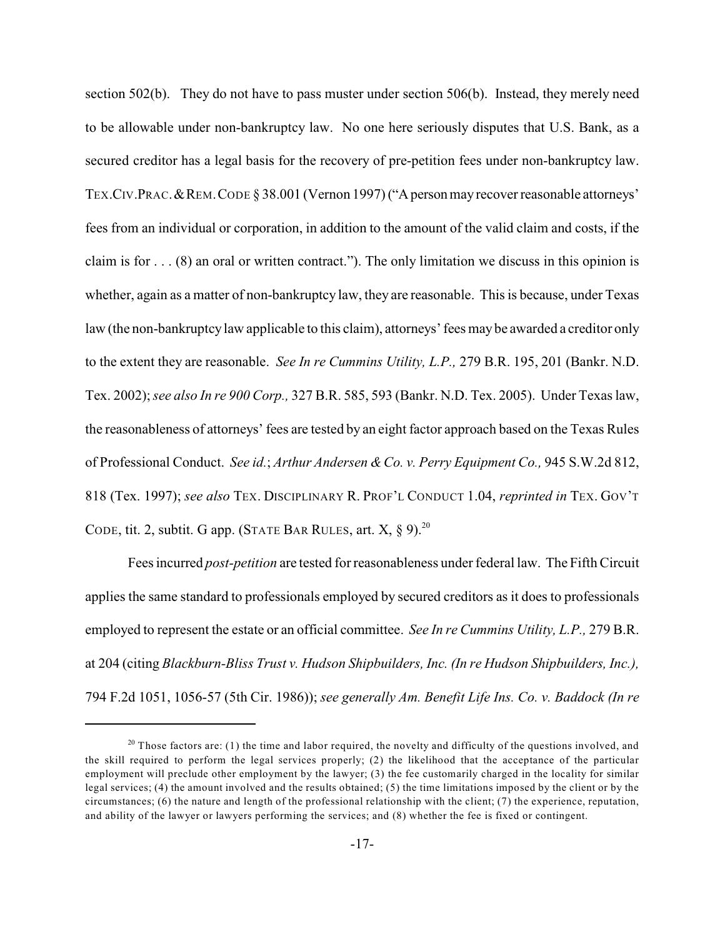section 502(b). They do not have to pass muster under section 506(b). Instead, they merely need to be allowable under non-bankruptcy law. No one here seriously disputes that U.S. Bank, as a secured creditor has a legal basis for the recovery of pre-petition fees under non-bankruptcy law. TEX.CIV.PRAC.&REM.CODE § 38.001 (Vernon 1997) ("A person may recover reasonable attorneys' fees from an individual or corporation, in addition to the amount of the valid claim and costs, if the claim is for  $\dots$  (8) an oral or written contract."). The only limitation we discuss in this opinion is whether, again as a matter of non-bankruptcy law, they are reasonable. This is because, under Texas law (the non-bankruptcy law applicable to this claim), attorneys' fees may be awarded a creditor only to the extent they are reasonable. *See In re Cummins Utility, L.P.,* 279 B.R. 195, 201 (Bankr. N.D. Tex. 2002);*see also In re 900 Corp.,* 327 B.R. 585, 593 (Bankr. N.D. Tex. 2005). Under Texas law, the reasonableness of attorneys' fees are tested by an eight factor approach based on the Texas Rules of Professional Conduct. *See id.*; *Arthur Andersen & Co. v. Perry Equipment Co.,* 945 S.W.2d 812, 818 (Tex. 1997); *see also* TEX. DISCIPLINARY R. PROF'L CONDUCT 1.04, *reprinted in* TEX. GOV'T CODE, tit. 2, subtit. G app. (STATE BAR RULES, art.  $X$ ,  $\S$  9).<sup>20</sup>

Fees incurred *post-petition* are tested forreasonableness under federal law. The Fifth Circuit applies the same standard to professionals employed by secured creditors as it does to professionals employed to represent the estate or an official committee. *See In re Cummins Utility, L.P.,* 279 B.R. at 204 (citing *Blackburn-Bliss Trust v. Hudson Shipbuilders, Inc. (In re Hudson Shipbuilders, Inc.),* 794 F.2d 1051, 1056-57 (5th Cir. 1986)); *see generally Am. Benefit Life Ins. Co. v. Baddock (In re*

<sup>&</sup>lt;sup>20</sup> Those factors are: (1) the time and labor required, the novelty and difficulty of the questions involved, and the skill required to perform the legal services properly; (2) the likelihood that the acceptance of the particular employment will preclude other employment by the lawyer; (3) the fee customarily charged in the locality for similar legal services; (4) the amount involved and the results obtained; (5) the time limitations imposed by the client or by the circumstances; (6) the nature and length of the professional relationship with the client; (7) the experience, reputation, and ability of the lawyer or lawyers performing the services; and (8) whether the fee is fixed or contingent.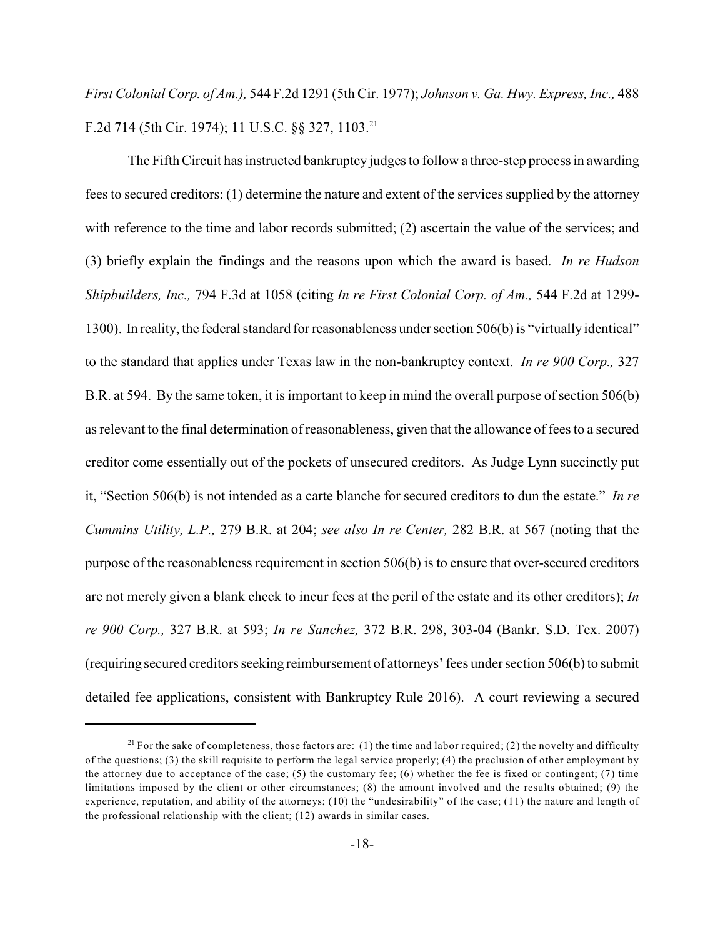*First Colonial Corp. of Am.),* 544 F.2d 1291 (5th Cir. 1977); *Johnson v. Ga. Hwy. Express, Inc.,* 488 F.2d 714 (5th Cir. 1974); 11 U.S.C. §§ 327, 1103.<sup>21</sup>

The Fifth Circuit has instructed bankruptcy judges to follow a three-step process in awarding fees to secured creditors: (1) determine the nature and extent of the services supplied by the attorney with reference to the time and labor records submitted; (2) ascertain the value of the services; and (3) briefly explain the findings and the reasons upon which the award is based. *In re Hudson Shipbuilders, Inc.,* 794 F.3d at 1058 (citing *In re First Colonial Corp. of Am.,* 544 F.2d at 1299- 1300). In reality, the federal standard for reasonableness under section 506(b) is "virtually identical" to the standard that applies under Texas law in the non-bankruptcy context. *In re 900 Corp.,* 327 B.R. at 594. By the same token, it is important to keep in mind the overall purpose of section 506(b) as relevant to the final determination of reasonableness, given that the allowance of fees to a secured creditor come essentially out of the pockets of unsecured creditors. As Judge Lynn succinctly put it, "Section 506(b) is not intended as a carte blanche for secured creditors to dun the estate." *In re Cummins Utility, L.P.,* 279 B.R. at 204; *see also In re Center,* 282 B.R. at 567 (noting that the purpose of the reasonableness requirement in section 506(b) is to ensure that over-secured creditors are not merely given a blank check to incur fees at the peril of the estate and its other creditors); *In re 900 Corp.,* 327 B.R. at 593; *In re Sanchez,* 372 B.R. 298, 303-04 (Bankr. S.D. Tex. 2007) (requiring secured creditors seeking reimbursement of attorneys' fees under section 506(b) to submit detailed fee applications, consistent with Bankruptcy Rule 2016). A court reviewing a secured

<sup>&</sup>lt;sup>21</sup> For the sake of completeness, those factors are: (1) the time and labor required; (2) the novelty and difficulty of the questions; (3) the skill requisite to perform the legal service properly; (4) the preclusion of other employment by the attorney due to acceptance of the case; (5) the customary fee; (6) whether the fee is fixed or contingent; (7) time limitations imposed by the client or other circumstances; (8) the amount involved and the results obtained; (9) the experience, reputation, and ability of the attorneys; (10) the "undesirability" of the case; (11) the nature and length of the professional relationship with the client; (12) awards in similar cases.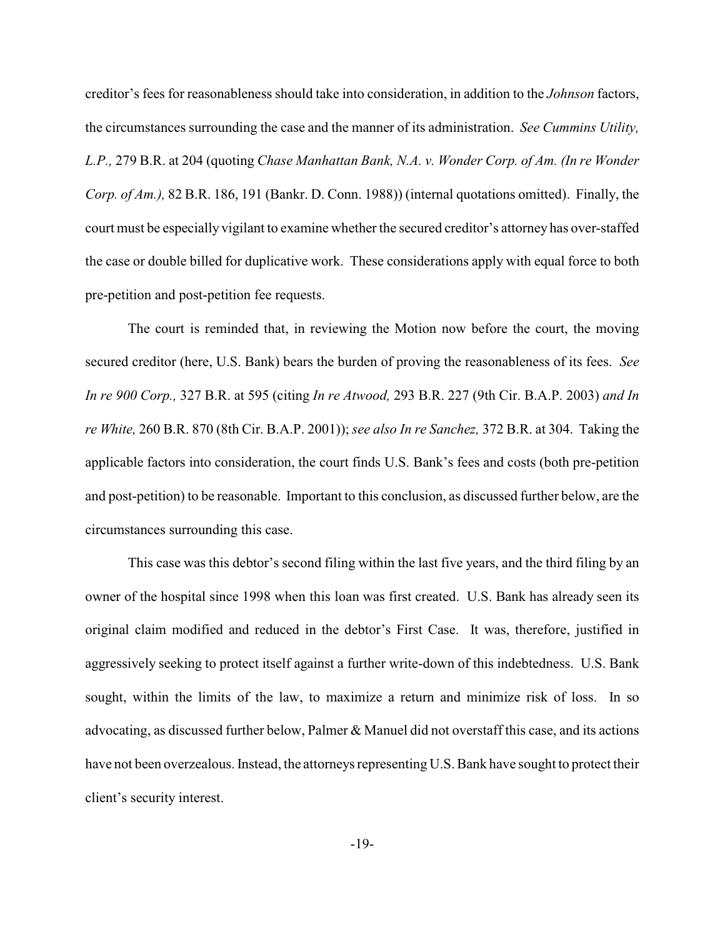creditor's fees for reasonableness should take into consideration, in addition to the *Johnson* factors, the circumstances surrounding the case and the manner of its administration. *See Cummins Utility, L.P.,* 279 B.R. at 204 (quoting *Chase Manhattan Bank, N.A. v. Wonder Corp. of Am. (In re Wonder Corp. of Am.),* 82 B.R. 186, 191 (Bankr. D. Conn. 1988)) (internal quotations omitted). Finally, the court must be especially vigilant to examine whether the secured creditor's attorney has over-staffed the case or double billed for duplicative work. These considerations apply with equal force to both pre-petition and post-petition fee requests.

The court is reminded that, in reviewing the Motion now before the court, the moving secured creditor (here, U.S. Bank) bears the burden of proving the reasonableness of its fees. *See In re 900 Corp.,* 327 B.R. at 595 (citing *In re Atwood,* 293 B.R. 227 (9th Cir. B.A.P. 2003) *and In re White,* 260 B.R. 870 (8th Cir. B.A.P. 2001)); *see also In re Sanchez,* 372 B.R. at 304. Taking the applicable factors into consideration, the court finds U.S. Bank's fees and costs (both pre-petition and post-petition) to be reasonable. Important to this conclusion, as discussed further below, are the circumstances surrounding this case.

This case was this debtor's second filing within the last five years, and the third filing by an owner of the hospital since 1998 when this loan was first created. U.S. Bank has already seen its original claim modified and reduced in the debtor's First Case. It was, therefore, justified in aggressively seeking to protect itself against a further write-down of this indebtedness. U.S. Bank sought, within the limits of the law, to maximize a return and minimize risk of loss. In so advocating, as discussed further below, Palmer & Manuel did not overstaff this case, and its actions have not been overzealous. Instead, the attorneys representing U.S. Bank have sought to protect their client's security interest.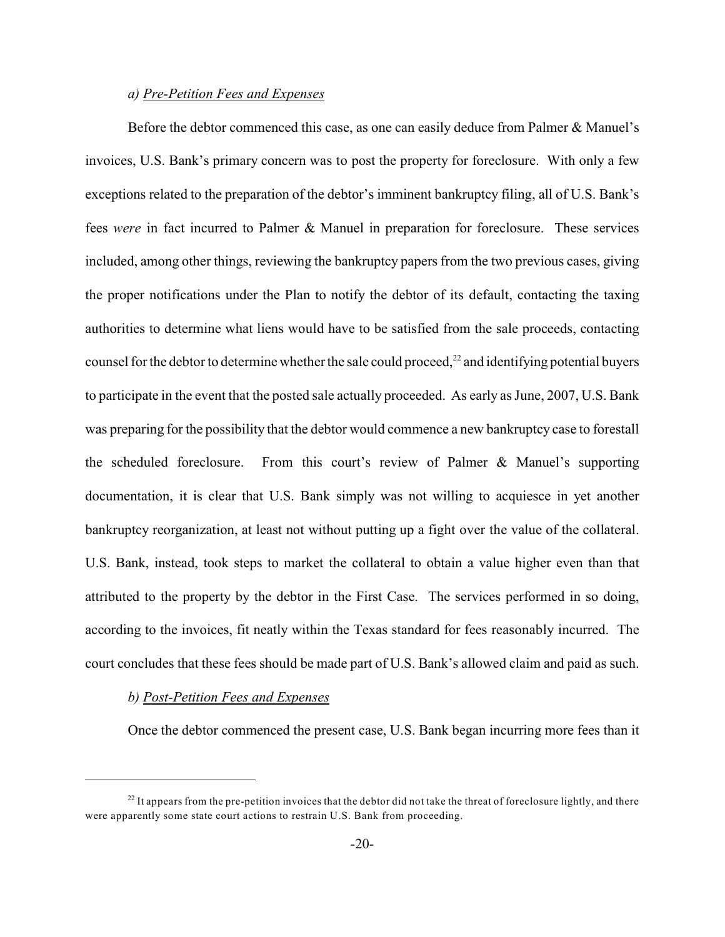# *a) Pre-Petition Fees and Expenses*

Before the debtor commenced this case, as one can easily deduce from Palmer & Manuel's invoices, U.S. Bank's primary concern was to post the property for foreclosure. With only a few exceptions related to the preparation of the debtor's imminent bankruptcy filing, all of U.S. Bank's fees *were* in fact incurred to Palmer & Manuel in preparation for foreclosure. These services included, among other things, reviewing the bankruptcy papers from the two previous cases, giving the proper notifications under the Plan to notify the debtor of its default, contacting the taxing authorities to determine what liens would have to be satisfied from the sale proceeds, contacting counsel for the debtor to determine whether the sale could proceed, $^{22}$  and identifying potential buyers to participate in the event that the posted sale actually proceeded. As early as June, 2007, U.S. Bank was preparing for the possibility that the debtor would commence a new bankruptcy case to forestall the scheduled foreclosure. From this court's review of Palmer & Manuel's supporting documentation, it is clear that U.S. Bank simply was not willing to acquiesce in yet another bankruptcy reorganization, at least not without putting up a fight over the value of the collateral. U.S. Bank, instead, took steps to market the collateral to obtain a value higher even than that attributed to the property by the debtor in the First Case. The services performed in so doing, according to the invoices, fit neatly within the Texas standard for fees reasonably incurred. The court concludes that these fees should be made part of U.S. Bank's allowed claim and paid as such.

# *b) Post-Petition Fees and Expenses*

Once the debtor commenced the present case, U.S. Bank began incurring more fees than it

 $^{22}$  It appears from the pre-petition invoices that the debtor did not take the threat of foreclosure lightly, and there were apparently some state court actions to restrain U.S. Bank from proceeding.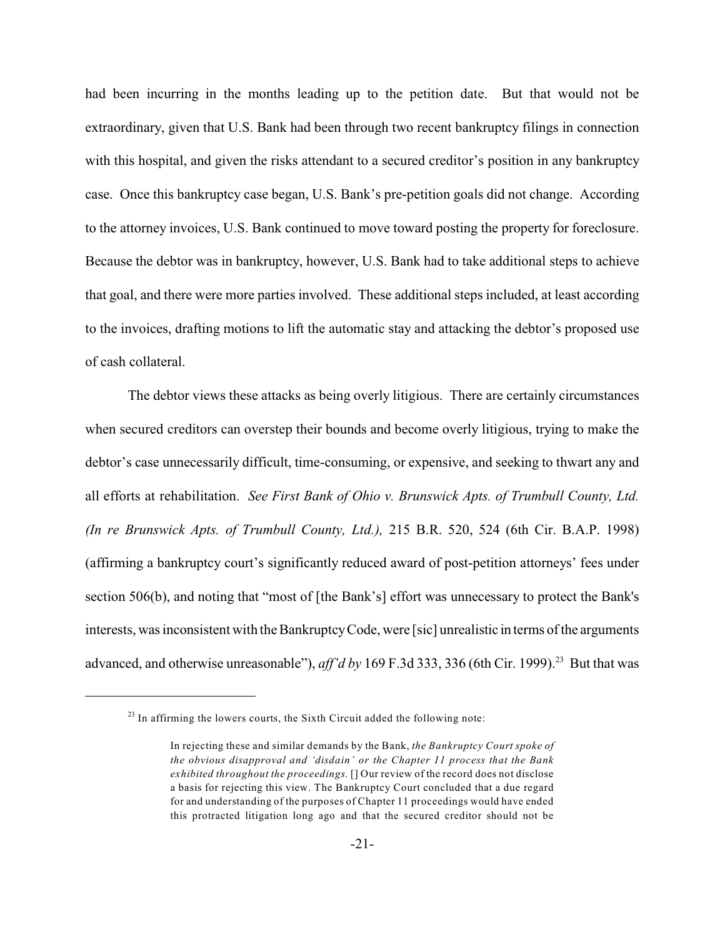had been incurring in the months leading up to the petition date. But that would not be extraordinary, given that U.S. Bank had been through two recent bankruptcy filings in connection with this hospital, and given the risks attendant to a secured creditor's position in any bankruptcy case. Once this bankruptcy case began, U.S. Bank's pre-petition goals did not change. According to the attorney invoices, U.S. Bank continued to move toward posting the property for foreclosure. Because the debtor was in bankruptcy, however, U.S. Bank had to take additional steps to achieve that goal, and there were more parties involved. These additional steps included, at least according to the invoices, drafting motions to lift the automatic stay and attacking the debtor's proposed use of cash collateral.

The debtor views these attacks as being overly litigious. There are certainly circumstances when secured creditors can overstep their bounds and become overly litigious, trying to make the debtor's case unnecessarily difficult, time-consuming, or expensive, and seeking to thwart any and all efforts at rehabilitation. *See First Bank of Ohio v. Brunswick Apts. of Trumbull County, Ltd. (In re Brunswick Apts. of Trumbull County, Ltd.),* 215 B.R. 520, 524 (6th Cir. B.A.P. 1998) (affirming a bankruptcy court's significantly reduced award of post-petition attorneys' fees under section 506(b), and noting that "most of [the Bank's] effort was unnecessary to protect the Bank's interests, was inconsistent with the Bankruptcy Code, were [sic] unrealistic in terms of the arguments advanced, and otherwise unreasonable"),  $aff'd$  by 169 F.3d 333, 336 (6th Cir. 1999).<sup>23</sup> But that was

 $^{23}$  In affirming the lowers courts, the Sixth Circuit added the following note:

In rejecting these and similar demands by the Bank, *the Bankruptcy Court spoke of the obvious disapproval and 'disdain' or the Chapter 11 process that the Bank exhibited throughout the proceedings.* [] Our review of the record does not disclose a basis for rejecting this view. The Bankruptcy Court concluded that a due regard for and understanding of the purposes of Chapter 11 proceedings would have ended this protracted litigation long ago and that the secured creditor should not be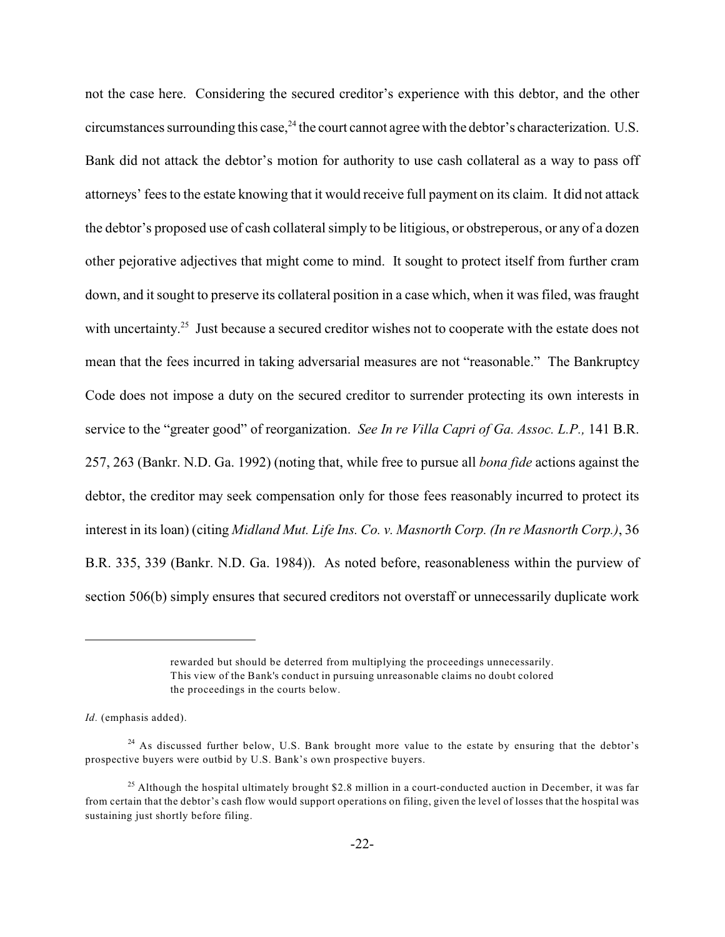not the case here. Considering the secured creditor's experience with this debtor, and the other circumstances surrounding this case,  $^{24}$  the court cannot agree with the debtor's characterization. U.S. Bank did not attack the debtor's motion for authority to use cash collateral as a way to pass off attorneys' fees to the estate knowing that it would receive full payment on its claim. It did not attack the debtor's proposed use of cash collateral simply to be litigious, or obstreperous, or any of a dozen other pejorative adjectives that might come to mind. It sought to protect itself from further cram down, and it sought to preserve its collateral position in a case which, when it was filed, was fraught with uncertainty.<sup>25</sup> Just because a secured creditor wishes not to cooperate with the estate does not mean that the fees incurred in taking adversarial measures are not "reasonable." The Bankruptcy Code does not impose a duty on the secured creditor to surrender protecting its own interests in service to the "greater good" of reorganization. *See In re Villa Capri of Ga. Assoc. L.P.,* 141 B.R. 257, 263 (Bankr. N.D. Ga. 1992) (noting that, while free to pursue all *bona fide* actions against the debtor, the creditor may seek compensation only for those fees reasonably incurred to protect its interest in its loan) (citing *Midland Mut. Life Ins. Co. v. Masnorth Corp. (In re Masnorth Corp.)*, 36 B.R. 335, 339 (Bankr. N.D. Ga. 1984)). As noted before, reasonableness within the purview of section 506(b) simply ensures that secured creditors not overstaff or unnecessarily duplicate work

rewarded but should be deterred from multiplying the proceedings unnecessarily. This view of the Bank's conduct in pursuing unreasonable claims no doubt colored the proceedings in the courts below.

*Id.* (emphasis added).

 $^{24}$  As discussed further below, U.S. Bank brought more value to the estate by ensuring that the debtor's prospective buyers were outbid by U.S. Bank's own prospective buyers.

<sup>&</sup>lt;sup>25</sup> Although the hospital ultimately brought \$2.8 million in a court-conducted auction in December, it was far from certain that the debtor's cash flow would support operations on filing, given the level of losses that the hospital was sustaining just shortly before filing.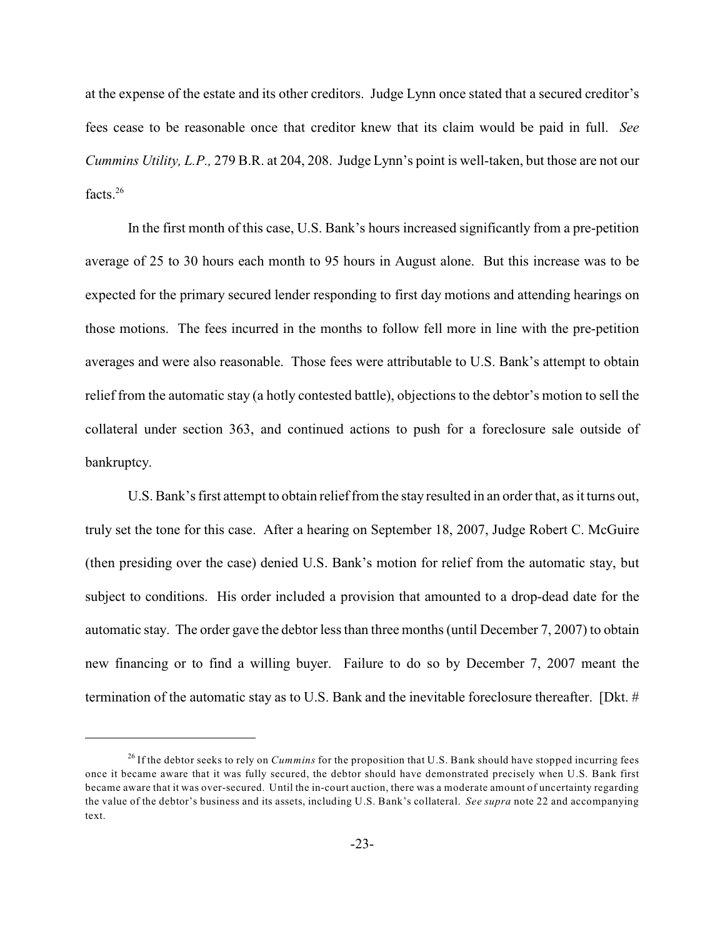at the expense of the estate and its other creditors. Judge Lynn once stated that a secured creditor's fees cease to be reasonable once that creditor knew that its claim would be paid in full. *See Cummins Utility, L.P.,* 279 B.R. at 204, 208. Judge Lynn's point is well-taken, but those are not our facts $26$ 

In the first month of this case, U.S. Bank's hours increased significantly from a pre-petition average of 25 to 30 hours each month to 95 hours in August alone. But this increase was to be expected for the primary secured lender responding to first day motions and attending hearings on those motions. The fees incurred in the months to follow fell more in line with the pre-petition averages and were also reasonable. Those fees were attributable to U.S. Bank's attempt to obtain relief from the automatic stay (a hotly contested battle), objections to the debtor's motion to sell the collateral under section 363, and continued actions to push for a foreclosure sale outside of bankruptcy.

U.S. Bank's first attempt to obtain relief from the stay resulted in an order that, as it turns out, truly set the tone for this case. After a hearing on September 18, 2007, Judge Robert C. McGuire (then presiding over the case) denied U.S. Bank's motion for relief from the automatic stay, but subject to conditions. His order included a provision that amounted to a drop-dead date for the automatic stay. The order gave the debtor less than three months (until December 7, 2007) to obtain new financing or to find a willing buyer. Failure to do so by December 7, 2007 meant the termination of the automatic stay as to U.S. Bank and the inevitable foreclosure thereafter. [Dkt. #

<sup>&</sup>lt;sup>26</sup> If the debtor seeks to rely on *Cummins* for the proposition that U.S. Bank should have stopped incurring fees once it became aware that it was fully secured, the debtor should have demonstrated precisely when U.S. Bank first became aware that it was over-secured. Until the in-court auction, there was a moderate amount of uncertainty regarding the value of the debtor's business and its assets, including U.S. Bank's collateral. *See supra* note 22 and accompanying text.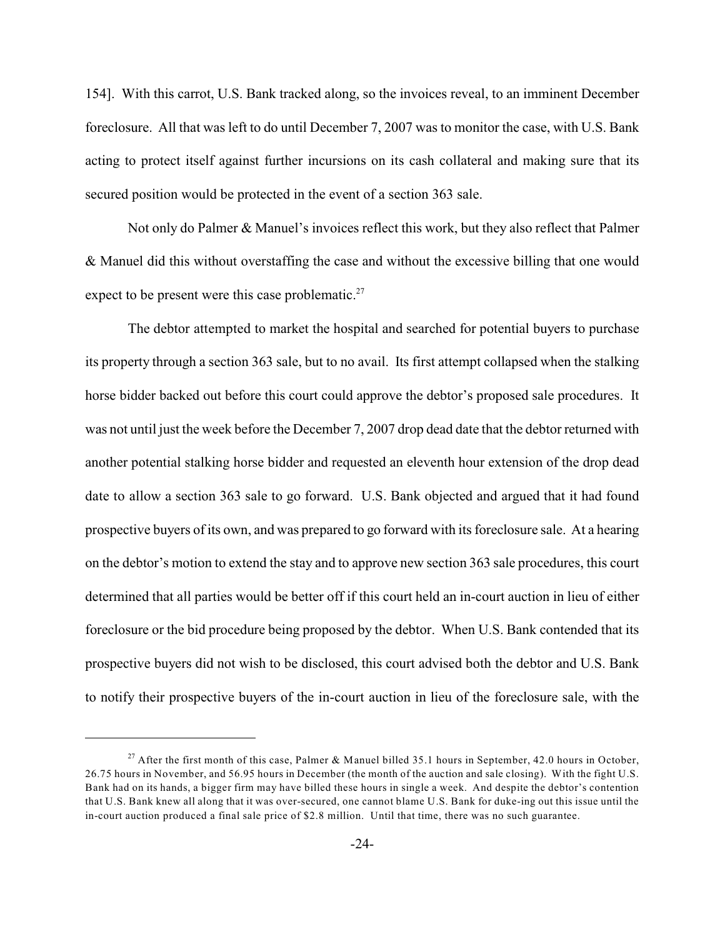154]. With this carrot, U.S. Bank tracked along, so the invoices reveal, to an imminent December foreclosure. All that was left to do until December 7, 2007 was to monitor the case, with U.S. Bank acting to protect itself against further incursions on its cash collateral and making sure that its secured position would be protected in the event of a section 363 sale.

Not only do Palmer & Manuel's invoices reflect this work, but they also reflect that Palmer & Manuel did this without overstaffing the case and without the excessive billing that one would expect to be present were this case problematic. $27$ 

The debtor attempted to market the hospital and searched for potential buyers to purchase its property through a section 363 sale, but to no avail. Its first attempt collapsed when the stalking horse bidder backed out before this court could approve the debtor's proposed sale procedures. It was not until just the week before the December 7, 2007 drop dead date that the debtor returned with another potential stalking horse bidder and requested an eleventh hour extension of the drop dead date to allow a section 363 sale to go forward. U.S. Bank objected and argued that it had found prospective buyers of its own, and was prepared to go forward with its foreclosure sale. At a hearing on the debtor's motion to extend the stay and to approve new section 363 sale procedures, this court determined that all parties would be better off if this court held an in-court auction in lieu of either foreclosure or the bid procedure being proposed by the debtor. When U.S. Bank contended that its prospective buyers did not wish to be disclosed, this court advised both the debtor and U.S. Bank to notify their prospective buyers of the in-court auction in lieu of the foreclosure sale, with the

<sup>&</sup>lt;sup>27</sup> After the first month of this case, Palmer & Manuel billed 35.1 hours in September, 42.0 hours in October, 26.75 hours in November, and 56.95 hours in December (the month of the auction and sale closing). With the fight U.S. Bank had on its hands, a bigger firm may have billed these hours in single a week. And despite the debtor's contention that U.S. Bank knew all along that it was over-secured, one cannot blame U.S. Bank for duke-ing out this issue until the in-court auction produced a final sale price of \$2.8 million. Until that time, there was no such guarantee.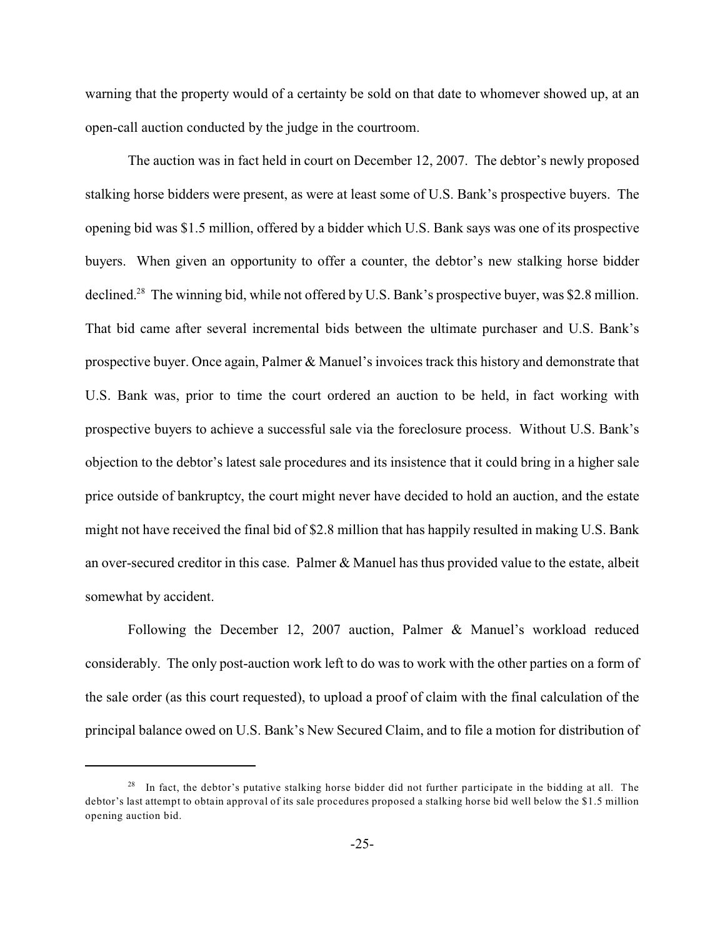warning that the property would of a certainty be sold on that date to whomever showed up, at an open-call auction conducted by the judge in the courtroom.

The auction was in fact held in court on December 12, 2007. The debtor's newly proposed stalking horse bidders were present, as were at least some of U.S. Bank's prospective buyers. The opening bid was \$1.5 million, offered by a bidder which U.S. Bank says was one of its prospective buyers. When given an opportunity to offer a counter, the debtor's new stalking horse bidder declined.<sup>28</sup> The winning bid, while not offered by U.S. Bank's prospective buyer, was \$2.8 million. That bid came after several incremental bids between the ultimate purchaser and U.S. Bank's prospective buyer. Once again, Palmer & Manuel's invoices track this history and demonstrate that U.S. Bank was, prior to time the court ordered an auction to be held, in fact working with prospective buyers to achieve a successful sale via the foreclosure process. Without U.S. Bank's objection to the debtor's latest sale procedures and its insistence that it could bring in a higher sale price outside of bankruptcy, the court might never have decided to hold an auction, and the estate might not have received the final bid of \$2.8 million that has happily resulted in making U.S. Bank an over-secured creditor in this case. Palmer & Manuel has thus provided value to the estate, albeit somewhat by accident.

Following the December 12, 2007 auction, Palmer & Manuel's workload reduced considerably. The only post-auction work left to do was to work with the other parties on a form of the sale order (as this court requested), to upload a proof of claim with the final calculation of the principal balance owed on U.S. Bank's New Secured Claim, and to file a motion for distribution of

<sup>&</sup>lt;sup>28</sup> In fact, the debtor's putative stalking horse bidder did not further participate in the bidding at all. The debtor's last attempt to obtain approval of its sale procedures proposed a stalking horse bid well below the \$1.5 million opening auction bid.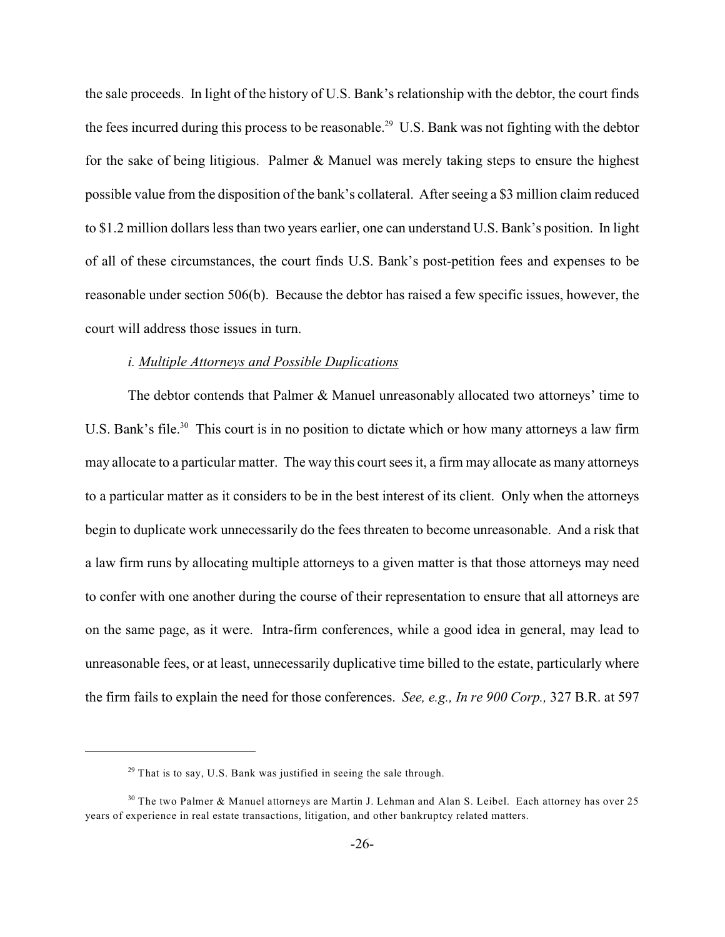the sale proceeds. In light of the history of U.S. Bank's relationship with the debtor, the court finds the fees incurred during this process to be reasonable.<sup>29</sup> U.S. Bank was not fighting with the debtor for the sake of being litigious. Palmer  $&$  Manuel was merely taking steps to ensure the highest possible value from the disposition of the bank's collateral. After seeing a \$3 million claim reduced to \$1.2 million dollars less than two years earlier, one can understand U.S. Bank's position. In light of all of these circumstances, the court finds U.S. Bank's post-petition fees and expenses to be reasonable under section 506(b). Because the debtor has raised a few specific issues, however, the court will address those issues in turn.

#### *i. Multiple Attorneys and Possible Duplications*

The debtor contends that Palmer & Manuel unreasonably allocated two attorneys' time to U.S. Bank's file.<sup>30</sup> This court is in no position to dictate which or how many attorneys a law firm may allocate to a particular matter. The way this court sees it, a firm may allocate as many attorneys to a particular matter as it considers to be in the best interest of its client. Only when the attorneys begin to duplicate work unnecessarily do the fees threaten to become unreasonable. And a risk that a law firm runs by allocating multiple attorneys to a given matter is that those attorneys may need to confer with one another during the course of their representation to ensure that all attorneys are on the same page, as it were. Intra-firm conferences, while a good idea in general, may lead to unreasonable fees, or at least, unnecessarily duplicative time billed to the estate, particularly where the firm fails to explain the need for those conferences. *See, e.g., In re 900 Corp.,* 327 B.R. at 597

 $29$  That is to say, U.S. Bank was justified in seeing the sale through.

 $30$  The two Palmer & Manuel attorneys are Martin J. Lehman and Alan S. Leibel. Each attorney has over 25 years of experience in real estate transactions, litigation, and other bankruptcy related matters.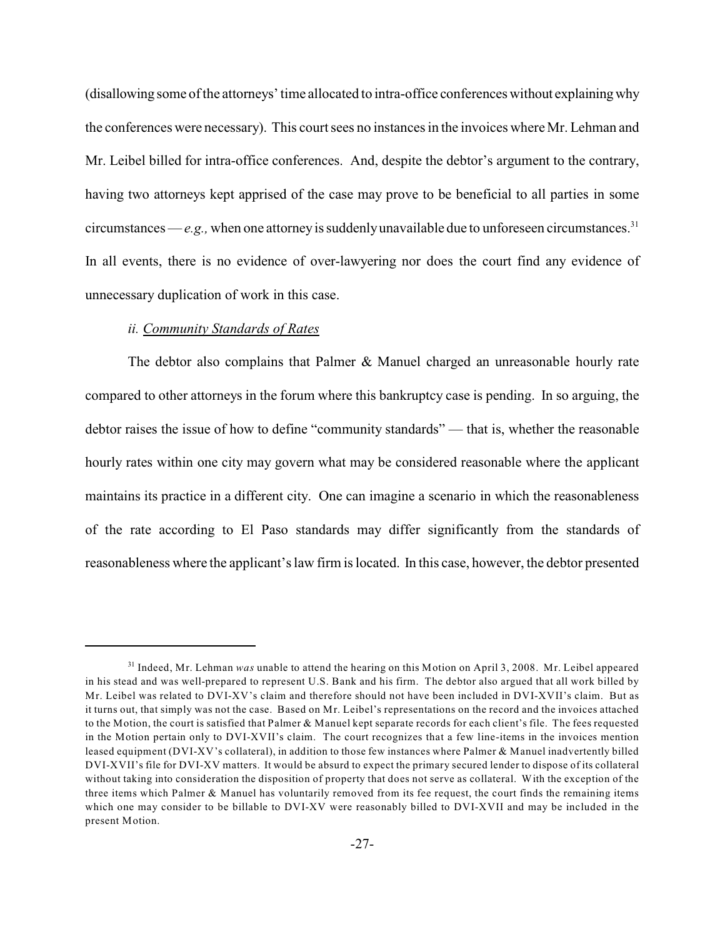(disallowing some of the attorneys' time allocated to intra-office conferences without explaining why the conferences were necessary). This court sees no instances in the invoices where Mr. Lehman and Mr. Leibel billed for intra-office conferences. And, despite the debtor's argument to the contrary, having two attorneys kept apprised of the case may prove to be beneficial to all parties in some circumstances —  $e.g.,$  when one attorney is suddenly unavailable due to unforeseen circumstances.<sup>31</sup> In all events, there is no evidence of over-lawyering nor does the court find any evidence of unnecessary duplication of work in this case.

# *ii. Community Standards of Rates*

The debtor also complains that Palmer & Manuel charged an unreasonable hourly rate compared to other attorneys in the forum where this bankruptcy case is pending. In so arguing, the debtor raises the issue of how to define "community standards" — that is, whether the reasonable hourly rates within one city may govern what may be considered reasonable where the applicant maintains its practice in a different city. One can imagine a scenario in which the reasonableness of the rate according to El Paso standards may differ significantly from the standards of reasonableness where the applicant's law firm is located. In this case, however, the debtor presented

<sup>&</sup>lt;sup>31</sup> Indeed, Mr. Lehman *was* unable to attend the hearing on this Motion on April 3, 2008. Mr. Leibel appeared in his stead and was well-prepared to represent U.S. Bank and his firm. The debtor also argued that all work billed by Mr. Leibel was related to DVI-XV's claim and therefore should not have been included in DVI-XVII's claim. But as it turns out, that simply was not the case. Based on Mr. Leibel's representations on the record and the invoices attached to the Motion, the court is satisfied that Palmer & Manuel kept separate records for each client's file. The fees requested in the Motion pertain only to DVI-XVII's claim. The court recognizes that a few line-items in the invoices mention leased equipment (DVI-XV's collateral), in addition to those few instances where Palmer & Manuel inadvertently billed DVI-XVII's file for DVI-XV matters. It would be absurd to expect the primary secured lender to dispose of its collateral without taking into consideration the disposition of property that does not serve as collateral. With the exception of the three items which Palmer & Manuel has voluntarily removed from its fee request, the court finds the remaining items which one may consider to be billable to DVI-XV were reasonably billed to DVI-XVII and may be included in the present Motion.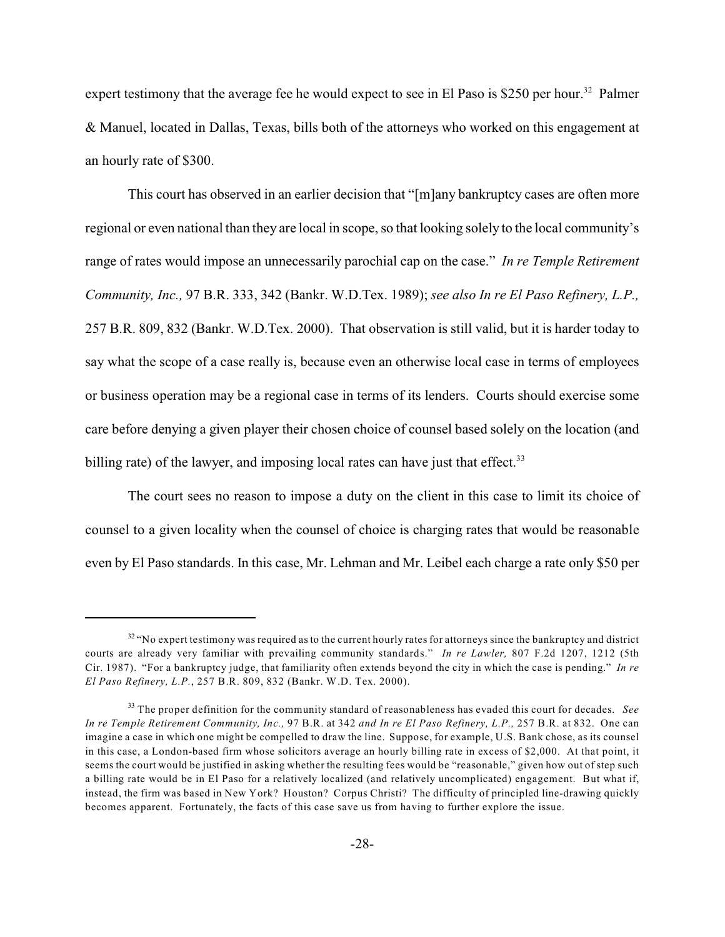expert testimony that the average fee he would expect to see in El Paso is \$250 per hour.<sup>32</sup> Palmer & Manuel, located in Dallas, Texas, bills both of the attorneys who worked on this engagement at an hourly rate of \$300.

This court has observed in an earlier decision that "[m]any bankruptcy cases are often more regional or even national than they are local in scope, so that looking solely to the local community's range of rates would impose an unnecessarily parochial cap on the case." *In re Temple Retirement Community, Inc.,* 97 B.R. 333, 342 (Bankr. W.D.Tex. 1989); *see also In re El Paso Refinery, L.P.,* 257 B.R. 809, 832 (Bankr. W.D.Tex. 2000). That observation is still valid, but it is harder today to say what the scope of a case really is, because even an otherwise local case in terms of employees or business operation may be a regional case in terms of its lenders. Courts should exercise some care before denying a given player their chosen choice of counsel based solely on the location (and billing rate) of the lawyer, and imposing local rates can have just that effect.<sup>33</sup>

The court sees no reason to impose a duty on the client in this case to limit its choice of counsel to a given locality when the counsel of choice is charging rates that would be reasonable even by El Paso standards. In this case, Mr. Lehman and Mr. Leibel each charge a rate only \$50 per

 $32$  "No expert testimony was required as to the current hourly rates for attorneys since the bankruptcy and district courts are already very familiar with prevailing community standards." *In re Lawler,* 807 F.2d 1207, 1212 (5th Cir. 1987). "For a bankruptcy judge, that familiarity often extends beyond the city in which the case is pending." *In re El Paso Refinery, L.P.*, 257 B.R. 809, 832 (Bankr. W.D. Tex. 2000).

<sup>&</sup>lt;sup>33</sup> The proper definition for the community standard of reasonableness has evaded this court for decades. *See In re Temple Retirement Community, Inc.,* 97 B.R. at 342 *and In re El Paso Refinery, L.P.,* 257 B.R. at 832. One can imagine a case in which one might be compelled to draw the line. Suppose, for example, U.S. Bank chose, as its counsel in this case, a London-based firm whose solicitors average an hourly billing rate in excess of \$2,000. At that point, it seems the court would be justified in asking whether the resulting fees would be "reasonable," given how out of step such a billing rate would be in El Paso for a relatively localized (and relatively uncomplicated) engagement. But what if, instead, the firm was based in New York? Houston? Corpus Christi? The difficulty of principled line-drawing quickly becomes apparent. Fortunately, the facts of this case save us from having to further explore the issue.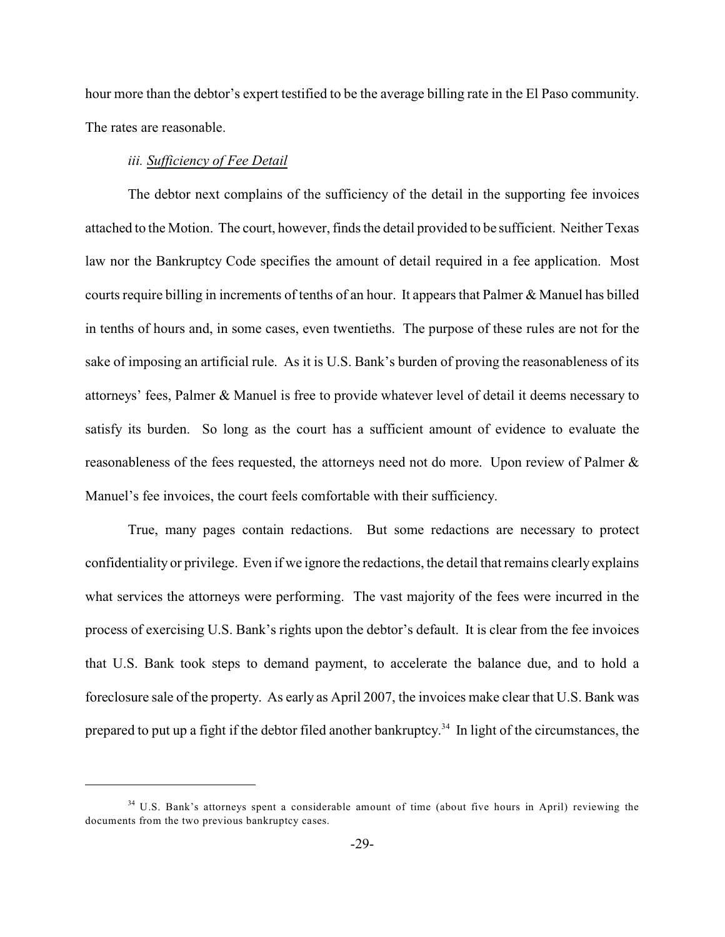hour more than the debtor's expert testified to be the average billing rate in the El Paso community. The rates are reasonable.

# *iii. Sufficiency of Fee Detail*

The debtor next complains of the sufficiency of the detail in the supporting fee invoices attached to the Motion. The court, however, finds the detail provided to be sufficient. Neither Texas law nor the Bankruptcy Code specifies the amount of detail required in a fee application. Most courts require billing in increments of tenths of an hour. It appears that Palmer & Manuel has billed in tenths of hours and, in some cases, even twentieths. The purpose of these rules are not for the sake of imposing an artificial rule. As it is U.S. Bank's burden of proving the reasonableness of its attorneys' fees, Palmer & Manuel is free to provide whatever level of detail it deems necessary to satisfy its burden. So long as the court has a sufficient amount of evidence to evaluate the reasonableness of the fees requested, the attorneys need not do more. Upon review of Palmer & Manuel's fee invoices, the court feels comfortable with their sufficiency.

True, many pages contain redactions. But some redactions are necessary to protect confidentiality or privilege. Even if we ignore the redactions, the detail that remains clearly explains what services the attorneys were performing. The vast majority of the fees were incurred in the process of exercising U.S. Bank's rights upon the debtor's default. It is clear from the fee invoices that U.S. Bank took steps to demand payment, to accelerate the balance due, and to hold a foreclosure sale of the property. As early as April 2007, the invoices make clear that U.S. Bank was prepared to put up a fight if the debtor filed another bankruptcy.<sup>34</sup> In light of the circumstances, the

 $34$  U.S. Bank's attorneys spent a considerable amount of time (about five hours in April) reviewing the documents from the two previous bankruptcy cases.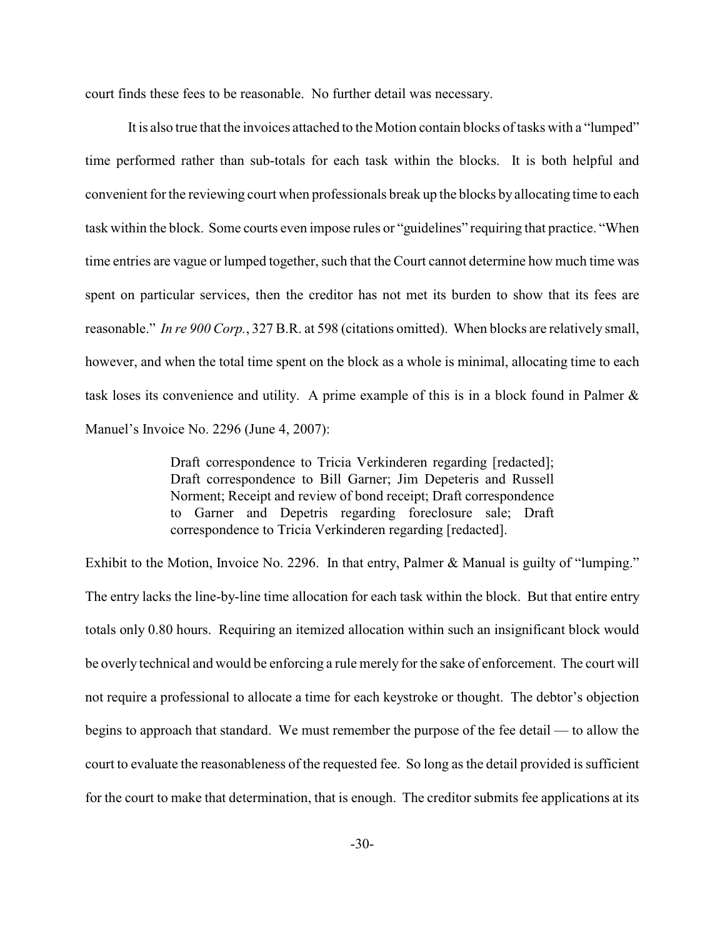court finds these fees to be reasonable. No further detail was necessary.

It is also true that the invoices attached to the Motion contain blocks of tasks with a "lumped" time performed rather than sub-totals for each task within the blocks. It is both helpful and convenient for the reviewing court when professionals break up the blocks by allocating time to each task within the block. Some courts even impose rules or "guidelines" requiring that practice. "When time entries are vague or lumped together, such that the Court cannot determine how much time was spent on particular services, then the creditor has not met its burden to show that its fees are reasonable." *In re 900 Corp.*, 327 B.R. at 598 (citations omitted). When blocks are relatively small, however, and when the total time spent on the block as a whole is minimal, allocating time to each task loses its convenience and utility. A prime example of this is in a block found in Palmer & Manuel's Invoice No. 2296 (June 4, 2007):

> Draft correspondence to Tricia Verkinderen regarding [redacted]; Draft correspondence to Bill Garner; Jim Depeteris and Russell Norment; Receipt and review of bond receipt; Draft correspondence to Garner and Depetris regarding foreclosure sale; Draft correspondence to Tricia Verkinderen regarding [redacted].

Exhibit to the Motion, Invoice No. 2296. In that entry, Palmer & Manual is guilty of "lumping." The entry lacks the line-by-line time allocation for each task within the block. But that entire entry totals only 0.80 hours. Requiring an itemized allocation within such an insignificant block would be overly technical and would be enforcing a rule merely for the sake of enforcement. The court will not require a professional to allocate a time for each keystroke or thought. The debtor's objection begins to approach that standard. We must remember the purpose of the fee detail — to allow the court to evaluate the reasonableness of the requested fee. So long as the detail provided is sufficient for the court to make that determination, that is enough. The creditor submits fee applications at its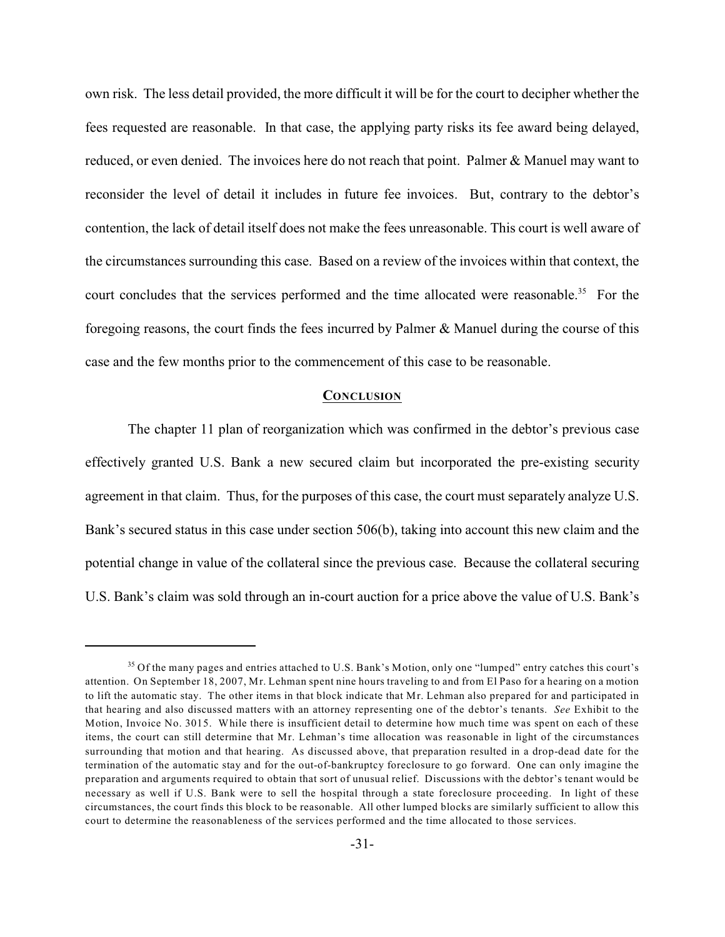own risk. The less detail provided, the more difficult it will be for the court to decipher whether the fees requested are reasonable. In that case, the applying party risks its fee award being delayed, reduced, or even denied. The invoices here do not reach that point. Palmer & Manuel may want to reconsider the level of detail it includes in future fee invoices. But, contrary to the debtor's contention, the lack of detail itself does not make the fees unreasonable. This court is well aware of the circumstances surrounding this case. Based on a review of the invoices within that context, the court concludes that the services performed and the time allocated were reasonable.<sup>35</sup> For the foregoing reasons, the court finds the fees incurred by Palmer & Manuel during the course of this case and the few months prior to the commencement of this case to be reasonable.

#### **CONCLUSION**

The chapter 11 plan of reorganization which was confirmed in the debtor's previous case effectively granted U.S. Bank a new secured claim but incorporated the pre-existing security agreement in that claim. Thus, for the purposes of this case, the court must separately analyze U.S. Bank's secured status in this case under section 506(b), taking into account this new claim and the potential change in value of the collateral since the previous case. Because the collateral securing U.S. Bank's claim was sold through an in-court auction for a price above the value of U.S. Bank's

 $35$  Of the many pages and entries attached to U.S. Bank's Motion, only one "lumped" entry catches this court's attention. On September 18, 2007, Mr. Lehman spent nine hours traveling to and from El Paso for a hearing on a motion to lift the automatic stay. The other items in that block indicate that Mr. Lehman also prepared for and participated in that hearing and also discussed matters with an attorney representing one of the debtor's tenants. *See* Exhibit to the Motion, Invoice No. 3015. While there is insufficient detail to determine how much time was spent on each of these items, the court can still determine that Mr. Lehman's time allocation was reasonable in light of the circumstances surrounding that motion and that hearing. As discussed above, that preparation resulted in a drop-dead date for the termination of the automatic stay and for the out-of-bankruptcy foreclosure to go forward. One can only imagine the preparation and arguments required to obtain that sort of unusual relief. Discussions with the debtor's tenant would be necessary as well if U.S. Bank were to sell the hospital through a state foreclosure proceeding. In light of these circumstances, the court finds this block to be reasonable. All other lumped blocks are similarly sufficient to allow this court to determine the reasonableness of the services performed and the time allocated to those services.